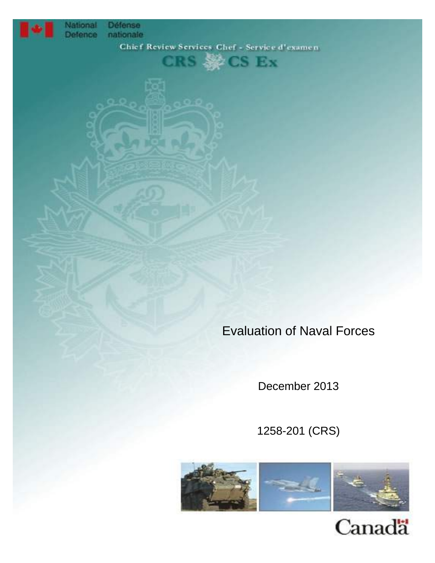

National Défense<br>Defence nationale

 $CRS \gg CS Ex$ 

Evaluation of Naval Forces

December 2013

1258-201 (CRS)



Canadä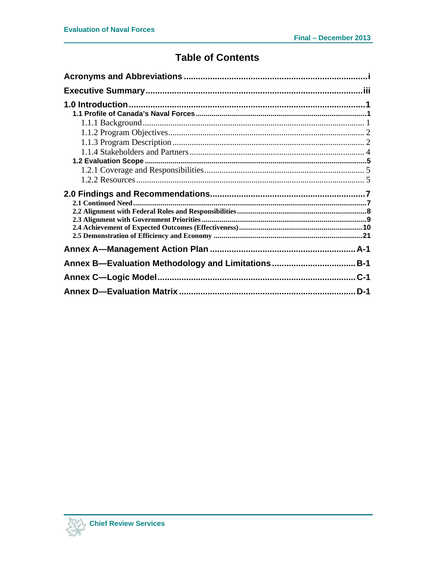# **Table of Contents**

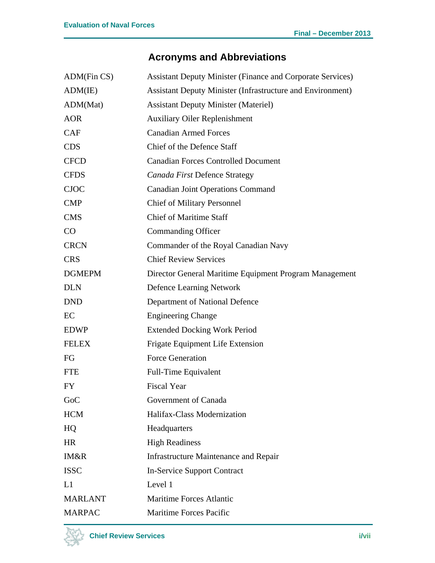# **Acronyms and Abbreviations**

| ADM(Fin CS)    | <b>Assistant Deputy Minister (Finance and Corporate Services)</b> |
|----------------|-------------------------------------------------------------------|
| ADM(IE)        | <b>Assistant Deputy Minister (Infrastructure and Environment)</b> |
| ADM(Mat)       | <b>Assistant Deputy Minister (Materiel)</b>                       |
| <b>AOR</b>     | <b>Auxiliary Oiler Replenishment</b>                              |
| <b>CAF</b>     | <b>Canadian Armed Forces</b>                                      |
| <b>CDS</b>     | Chief of the Defence Staff                                        |
| <b>CFCD</b>    | <b>Canadian Forces Controlled Document</b>                        |
| <b>CFDS</b>    | Canada First Defence Strategy                                     |
| <b>CJOC</b>    | <b>Canadian Joint Operations Command</b>                          |
| <b>CMP</b>     | <b>Chief of Military Personnel</b>                                |
| <b>CMS</b>     | <b>Chief of Maritime Staff</b>                                    |
| CO             | Commanding Officer                                                |
| <b>CRCN</b>    | Commander of the Royal Canadian Navy                              |
| <b>CRS</b>     | <b>Chief Review Services</b>                                      |
| <b>DGMEPM</b>  | Director General Maritime Equipment Program Management            |
| <b>DLN</b>     | <b>Defence Learning Network</b>                                   |
| <b>DND</b>     | Department of National Defence                                    |
| EC             | <b>Engineering Change</b>                                         |
| <b>EDWP</b>    | <b>Extended Docking Work Period</b>                               |
| <b>FELEX</b>   | Frigate Equipment Life Extension                                  |
| FG             | <b>Force Generation</b>                                           |
| <b>FTE</b>     | <b>Full-Time Equivalent</b>                                       |
| FY             | <b>Fiscal Year</b>                                                |
| GoC            | Government of Canada                                              |
| <b>HCM</b>     | Halifax-Class Modernization                                       |
| HQ             | Headquarters                                                      |
| <b>HR</b>      | <b>High Readiness</b>                                             |
| IM&R           | <b>Infrastructure Maintenance and Repair</b>                      |
| <b>ISSC</b>    | <b>In-Service Support Contract</b>                                |
| L1             | Level 1                                                           |
| <b>MARLANT</b> | <b>Maritime Forces Atlantic</b>                                   |
| <b>MARPAC</b>  | Maritime Forces Pacific                                           |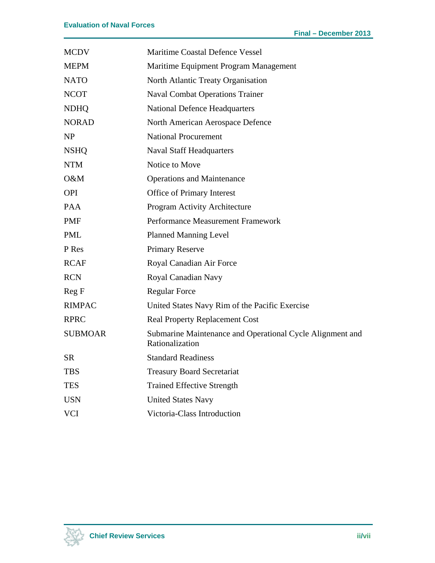| <b>MCDV</b>    | <b>Maritime Coastal Defence Vessel</b>                                       |
|----------------|------------------------------------------------------------------------------|
| <b>MEPM</b>    | Maritime Equipment Program Management                                        |
| <b>NATO</b>    | North Atlantic Treaty Organisation                                           |
| <b>NCOT</b>    | <b>Naval Combat Operations Trainer</b>                                       |
| <b>NDHQ</b>    | <b>National Defence Headquarters</b>                                         |
| <b>NORAD</b>   | North American Aerospace Defence                                             |
| NP             | <b>National Procurement</b>                                                  |
| <b>NSHQ</b>    | <b>Naval Staff Headquarters</b>                                              |
| <b>NTM</b>     | Notice to Move                                                               |
| O&M            | <b>Operations and Maintenance</b>                                            |
| <b>OPI</b>     | Office of Primary Interest                                                   |
| <b>PAA</b>     | Program Activity Architecture                                                |
| <b>PMF</b>     | Performance Measurement Framework                                            |
| <b>PML</b>     | <b>Planned Manning Level</b>                                                 |
| P Res          | <b>Primary Reserve</b>                                                       |
| <b>RCAF</b>    | Royal Canadian Air Force                                                     |
| <b>RCN</b>     | Royal Canadian Navy                                                          |
| Reg F          | <b>Regular Force</b>                                                         |
| <b>RIMPAC</b>  | United States Navy Rim of the Pacific Exercise                               |
| <b>RPRC</b>    | <b>Real Property Replacement Cost</b>                                        |
| <b>SUBMOAR</b> | Submarine Maintenance and Operational Cycle Alignment and<br>Rationalization |
| <b>SR</b>      | <b>Standard Readiness</b>                                                    |
| <b>TBS</b>     | <b>Treasury Board Secretariat</b>                                            |
| <b>TES</b>     | <b>Trained Effective Strength</b>                                            |
| <b>USN</b>     | <b>United States Navy</b>                                                    |
| <b>VCI</b>     | Victoria-Class Introduction                                                  |

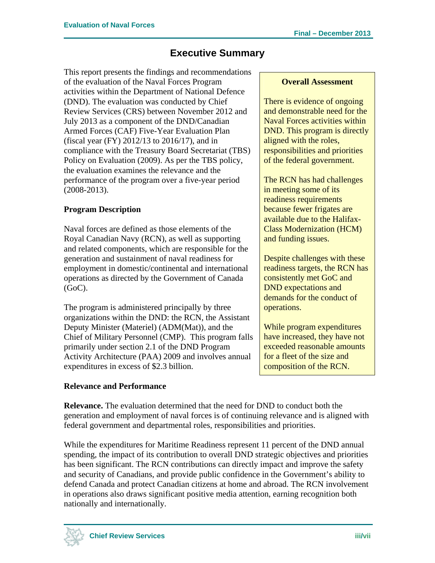## **Executive Summary**

This report presents the findings and recommendations of the evaluation of the Naval Forces Program activities within the Department of National Defence (DND). The evaluation was conducted by Chief Review Services (CRS) between November 2012 and July 2013 as a component of the DND/Canadian Armed Forces (CAF) Five-Year Evaluation Plan (fiscal year (FY) 2012/13 to 2016/17), and in compliance with the Treasury Board Secretariat (TBS) Policy on Evaluation (2009). As per the TBS policy, the evaluation examines the relevance and the performance of the program over a five-year period (2008-2013).

## **Program Description**

Naval forces are defined as those elements of the Royal Canadian Navy (RCN), as well as supporting and related components, which are responsible for the generation and sustainment of naval readiness for employment in domestic/continental and international operations as directed by the Government of Canada  $(GoC)$ .

The program is administered principally by three organizations within the DND: the RCN, the Assistant Deputy Minister (Materiel) (ADM(Mat)), and the Chief of Military Personnel (CMP). This program falls primarily under section 2.1 of the DND Program Activity Architecture (PAA) 2009 and involves annual expenditures in excess of \$2.3 billion.

### **Relevance and Performance**

#### **Overall Assessment**

There is evidence of ongoing and demonstrable need for the Naval Forces activities within DND. This program is directly aligned with the roles, responsibilities and priorities of the federal government.

The RCN has had challenges in meeting some of its readiness requirements because fewer frigates are available due to the Halifax-Class Modernization (HCM) and funding issues.

Despite challenges with these readiness targets, the RCN has consistently met GoC and DND expectations and demands for the conduct of operations.

While program expenditures have increased, they have not exceeded reasonable amounts for a fleet of the size and composition of the RCN.

**Relevance.** The evaluation determined that the need for DND to conduct both the generation and employment of naval forces is of continuing relevance and is aligned with federal government and departmental roles, responsibilities and priorities.

While the expenditures for Maritime Readiness represent 11 percent of the DND annual spending, the impact of its contribution to overall DND strategic objectives and priorities has been significant. The RCN contributions can directly impact and improve the safety and security of Canadians, and provide public confidence in the Government's ability to defend Canada and protect Canadian citizens at home and abroad. The RCN involvement in operations also draws significant positive media attention, earning recognition both nationally and internationally.

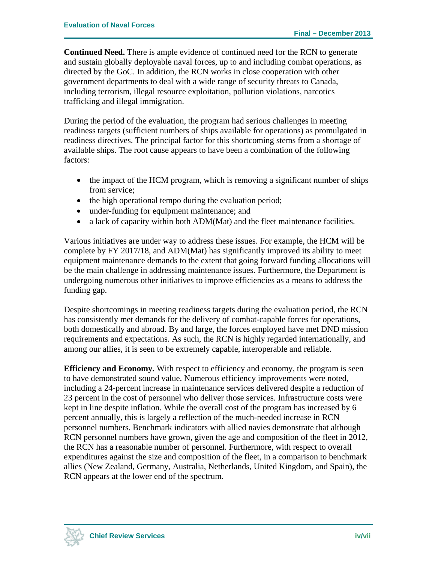**Continued Need.** There is ample evidence of continued need for the RCN to generate and sustain globally deployable naval forces, up to and including combat operations, as directed by the GoC. In addition, the RCN works in close cooperation with other government departments to deal with a wide range of security threats to Canada, including terrorism, illegal resource exploitation, pollution violations, narcotics trafficking and illegal immigration.

During the period of the evaluation, the program had serious challenges in meeting readiness targets (sufficient numbers of ships available for operations) as promulgated in readiness directives. The principal factor for this shortcoming stems from a shortage of available ships. The root cause appears to have been a combination of the following factors:

- the impact of the HCM program, which is removing a significant number of ships from service;
- the high operational tempo during the evaluation period;
- under-funding for equipment maintenance; and
- a lack of capacity within both ADM(Mat) and the fleet maintenance facilities.

Various initiatives are under way to address these issues. For example, the HCM will be complete by FY 2017/18, and ADM(Mat) has significantly improved its ability to meet equipment maintenance demands to the extent that going forward funding allocations will be the main challenge in addressing maintenance issues. Furthermore, the Department is undergoing numerous other initiatives to improve efficiencies as a means to address the funding gap.

Despite shortcomings in meeting readiness targets during the evaluation period, the RCN has consistently met demands for the delivery of combat-capable forces for operations, both domestically and abroad. By and large, the forces employed have met DND mission requirements and expectations. As such, the RCN is highly regarded internationally, and among our allies, it is seen to be extremely capable, interoperable and reliable.

**Efficiency and Economy.** With respect to efficiency and economy, the program is seen to have demonstrated sound value. Numerous efficiency improvements were noted, including a 24-percent increase in maintenance services delivered despite a reduction of 23 percent in the cost of personnel who deliver those services. Infrastructure costs were kept in line despite inflation. While the overall cost of the program has increased by 6 percent annually, this is largely a reflection of the much-needed increase in RCN personnel numbers. Benchmark indicators with allied navies demonstrate that although RCN personnel numbers have grown, given the age and composition of the fleet in 2012, the RCN has a reasonable number of personnel. Furthermore, with respect to overall expenditures against the size and composition of the fleet, in a comparison to benchmark allies (New Zealand, Germany, Australia, Netherlands, United Kingdom, and Spain), the RCN appears at the lower end of the spectrum.

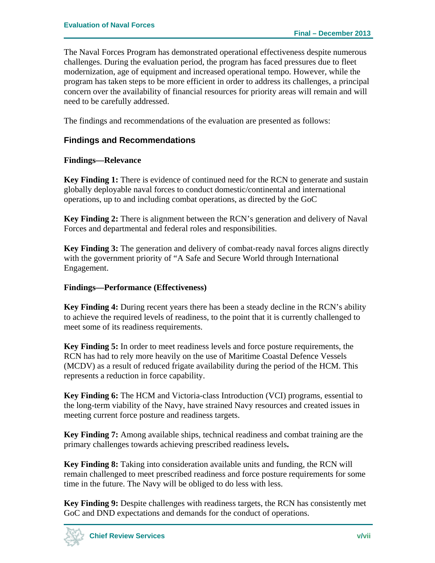The Naval Forces Program has demonstrated operational effectiveness despite numerous challenges. During the evaluation period, the program has faced pressures due to fleet modernization, age of equipment and increased operational tempo. However, while the program has taken steps to be more efficient in order to address its challenges, a principal concern over the availability of financial resources for priority areas will remain and will need to be carefully addressed.

The findings and recommendations of the evaluation are presented as follows:

#### **Findings and Recommendations**

#### **Findings—Relevance**

**Key Finding 1:** There is evidence of continued need for the RCN to generate and sustain globally deployable naval forces to conduct domestic/continental and international operations, up to and including combat operations, as directed by the GoC

**Key Finding 2:** There is alignment between the RCN's generation and delivery of Naval Forces and departmental and federal roles and responsibilities.

**Key Finding 3:** The generation and delivery of combat-ready naval forces aligns directly with the government priority of "A Safe and Secure World through International Engagement.

#### **Findings—Performance (Effectiveness)**

**Key Finding 4:** During recent years there has been a steady decline in the RCN's ability to achieve the required levels of readiness, to the point that it is currently challenged to meet some of its readiness requirements.

**Key Finding 5:** In order to meet readiness levels and force posture requirements, the RCN has had to rely more heavily on the use of Maritime Coastal Defence Vessels (MCDV) as a result of reduced frigate availability during the period of the HCM. This represents a reduction in force capability.

**Key Finding 6:** The HCM and Victoria-class Introduction (VCI) programs, essential to the long-term viability of the Navy, have strained Navy resources and created issues in meeting current force posture and readiness targets.

**Key Finding 7:** Among available ships, technical readiness and combat training are the primary challenges towards achieving prescribed readiness levels**.** 

**Key Finding 8:** Taking into consideration available units and funding, the RCN will remain challenged to meet prescribed readiness and force posture requirements for some time in the future. The Navy will be obliged to do less with less.

**Key Finding 9:** Despite challenges with readiness targets, the RCN has consistently met GoC and DND expectations and demands for the conduct of operations.

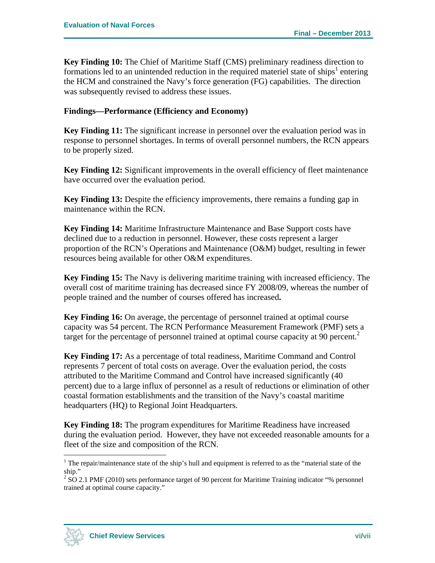**Key Finding 10:** The Chief of Maritime Staff (CMS) preliminary readiness direction to formations led to an unintended reduction in the required materiel state of ships<sup>1</sup> entering the HCM and constrained the Navy's force generation (FG) capabilities. The direction was subsequently revised to address these issues.

### **Findings—Performance (Efficiency and Economy)**

**Key Finding 11:** The significant increase in personnel over the evaluation period was in response to personnel shortages. In terms of overall personnel numbers, the RCN appears to be properly sized.

**Key Finding 12:** Significant improvements in the overall efficiency of fleet maintenance have occurred over the evaluation period.

**Key Finding 13:** Despite the efficiency improvements, there remains a funding gap in maintenance within the RCN.

**Key Finding 14:** Maritime Infrastructure Maintenance and Base Support costs have declined due to a reduction in personnel. However, these costs represent a larger proportion of the RCN's Operations and Maintenance (O&M) budget, resulting in fewer resources being available for other O&M expenditures.

**Key Finding 15:** The Navy is delivering maritime training with increased efficiency. The overall cost of maritime training has decreased since FY 2008/09, whereas the number of people trained and the number of courses offered has increased**.** 

**Key Finding 16:** On average, the percentage of personnel trained at optimal course capacity was 54 percent. The RCN Performance Measurement Framework (PMF) sets a target for the percentage of personnel trained at optimal course capacity at 90 percent.<sup>2</sup>

**Key Finding 17:** As a percentage of total readiness, Maritime Command and Control represents 7 percent of total costs on average. Over the evaluation period, the costs attributed to the Maritime Command and Control have increased significantly (40 percent) due to a large influx of personnel as a result of reductions or elimination of other coastal formation establishments and the transition of the Navy's coastal maritime headquarters (HQ) to Regional Joint Headquarters.

**Key Finding 18:** The program expenditures for Maritime Readiness have increased during the evaluation period. However, they have not exceeded reasonable amounts for a fleet of the size and composition of the RCN.



<u>.</u>

<sup>&</sup>lt;sup>1</sup> The repair/maintenance state of the ship's hull and equipment is referred to as the "material state of the ship."

 $2^{2}$  SO 2.1 PMF (2010) sets performance target of 90 percent for Maritime Training indicator "% personnel trained at optimal course capacity."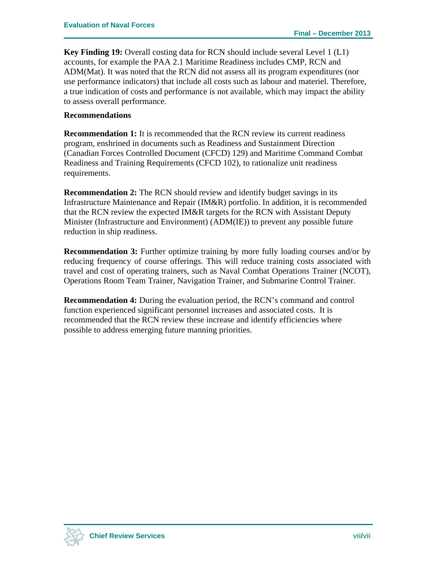**Key Finding 19:** Overall costing data for RCN should include several Level 1 (L1) accounts, for example the PAA 2.1 Maritime Readiness includes CMP, RCN and ADM(Mat). It was noted that the RCN did not assess all its program expenditures (nor use performance indicators) that include all costs such as labour and materiel. Therefore, a true indication of costs and performance is not available, which may impact the ability to assess overall performance.

#### **Recommendations**

**Recommendation 1:** It is recommended that the RCN review its current readiness program, enshrined in documents such as Readiness and Sustainment Direction (Canadian Forces Controlled Document (CFCD) 129) and Maritime Command Combat Readiness and Training Requirements (CFCD 102), to rationalize unit readiness requirements.

**Recommendation 2:** The RCN should review and identify budget savings in its Infrastructure Maintenance and Repair (IM&R) portfolio. In addition, it is recommended that the RCN review the expected IM&R targets for the RCN with Assistant Deputy Minister (Infrastructure and Environment) (ADM(IE)) to prevent any possible future reduction in ship readiness.

**Recommendation 3:** Further optimize training by more fully loading courses and/or by reducing frequency of course offerings. This will reduce training costs associated with travel and cost of operating trainers, such as Naval Combat Operations Trainer (NCOT), Operations Room Team Trainer, Navigation Trainer, and Submarine Control Trainer.

**Recommendation 4:** During the evaluation period, the RCN's command and control function experienced significant personnel increases and associated costs. It is recommended that the RCN review these increase and identify efficiencies where possible to address emerging future manning priorities.

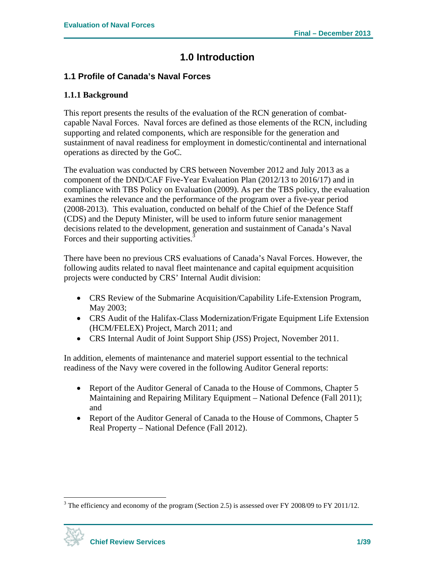## **1.0 Introduction**

## **1.1 Profile of Canada's Naval Forces**

### **1.1.1 Background**

This report presents the results of the evaluation of the RCN generation of combatcapable Naval Forces. Naval forces are defined as those elements of the RCN, including supporting and related components, which are responsible for the generation and sustainment of naval readiness for employment in domestic/continental and international operations as directed by the GoC.

The evaluation was conducted by CRS between November 2012 and July 2013 as a component of the DND/CAF Five-Year Evaluation Plan (2012/13 to 2016/17) and in compliance with TBS Policy on Evaluation (2009). As per the TBS policy, the evaluation examines the relevance and the performance of the program over a five-year period (2008-2013). This evaluation, conducted on behalf of the Chief of the Defence Staff (CDS) and the Deputy Minister, will be used to inform future senior management decisions related to the development, generation and sustainment of Canada's Naval Forces and their supporting activities.<sup>3</sup>

There have been no previous CRS evaluations of Canada's Naval Forces. However, the following audits related to naval fleet maintenance and capital equipment acquisition projects were conducted by CRS' Internal Audit division:

- CRS Review of the Submarine Acquisition/Capability Life-Extension Program, May 2003;
- CRS Audit of the Halifax-Class Modernization/Frigate Equipment Life Extension (HCM/FELEX) Project, March 2011; and
- CRS Internal Audit of Joint Support Ship (JSS) Project, November 2011.

In addition, elements of maintenance and materiel support essential to the technical readiness of the Navy were covered in the following Auditor General reports:

- Report of the Auditor General of Canada to the House of Commons, Chapter 5 Maintaining and Repairing Military Equipment – National Defence (Fall 2011); and
- Report of the Auditor General of Canada to the House of Commons, Chapter 5 Real Property – National Defence (Fall 2012).

 $3$  The efficiency and economy of the program (Section 2.5) is assessed over FY 2008/09 to FY 2011/12.



1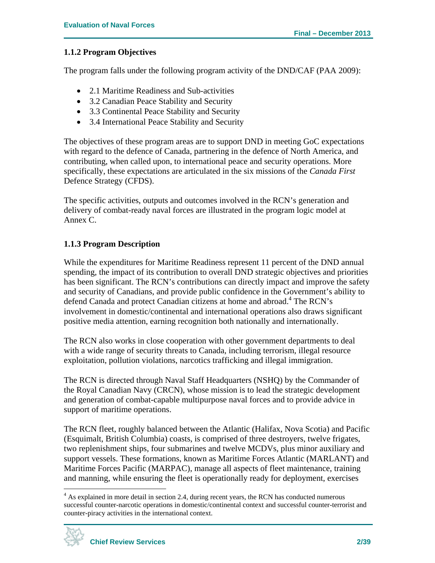### **1.1.2 Program Objectives**

The program falls under the following program activity of the DND/CAF (PAA 2009):

- 2.1 Maritime Readiness and Sub-activities
- 3.2 Canadian Peace Stability and Security
- 3.3 Continental Peace Stability and Security
- 3.4 International Peace Stability and Security

The objectives of these program areas are to support DND in meeting GoC expectations with regard to the defence of Canada, partnering in the defence of North America, and contributing, when called upon, to international peace and security operations. More specifically, these expectations are articulated in the six missions of the *Canada First* Defence Strategy (CFDS).

The specific activities, outputs and outcomes involved in the RCN's generation and delivery of combat-ready naval forces are illustrated in the program logic model at Annex C.

### **1.1.3 Program Description**

While the expenditures for Maritime Readiness represent 11 percent of the DND annual spending, the impact of its contribution to overall DND strategic objectives and priorities has been significant. The RCN's contributions can directly impact and improve the safety and security of Canadians, and provide public confidence in the Government's ability to defend Canada and protect Canadian citizens at home and abroad.<sup>4</sup> The RCN's involvement in domestic/continental and international operations also draws significant positive media attention, earning recognition both nationally and internationally.

The RCN also works in close cooperation with other government departments to deal with a wide range of security threats to Canada, including terrorism, illegal resource exploitation, pollution violations, narcotics trafficking and illegal immigration.

The RCN is directed through Naval Staff Headquarters (NSHQ) by the Commander of the Royal Canadian Navy (CRCN), whose mission is to lead the strategic development and generation of combat-capable multipurpose naval forces and to provide advice in support of maritime operations.

The RCN fleet, roughly balanced between the Atlantic (Halifax, Nova Scotia) and Pacific (Esquimalt, British Columbia) coasts, is comprised of three destroyers, twelve frigates, two replenishment ships, four submarines and twelve MCDVs, plus minor auxiliary and support vessels. These formations, known as Maritime Forces Atlantic (MARLANT) and Maritime Forces Pacific (MARPAC), manage all aspects of fleet maintenance, training and manning, while ensuring the fleet is operationally ready for deployment, exercises

<sup>&</sup>lt;sup>4</sup> As explained in more detail in section 2.4, during recent years, the RCN has conducted numerous successful counter-narcotic operations in domestic/continental context and successful counter-terrorist and counter-piracy activities in the international context.

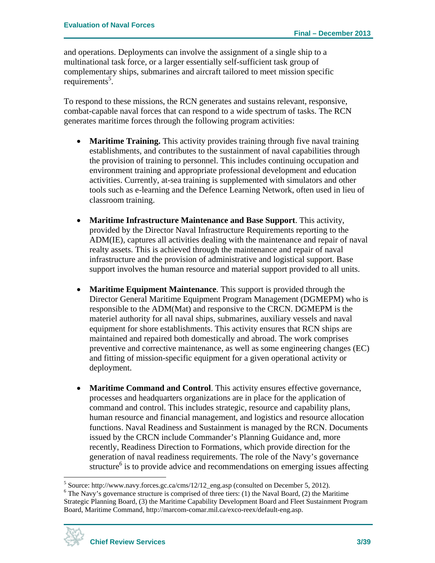and operations. Deployments can involve the assignment of a single ship to a multinational task force, or a larger essentially self-sufficient task group of complementary ships, submarines and aircraft tailored to meet mission specific  $requirements<sup>5</sup>$ .

To respond to these missions, the RCN generates and sustains relevant, responsive, combat-capable naval forces that can respond to a wide spectrum of tasks. The RCN generates maritime forces through the following program activities:

- **Maritime Training.** This activity provides training through five naval training establishments, and contributes to the sustainment of naval capabilities through the provision of training to personnel. This includes continuing occupation and environment training and appropriate professional development and education activities. Currently, at-sea training is supplemented with simulators and other tools such as e-learning and the Defence Learning Network, often used in lieu of classroom training.
- **Maritime Infrastructure Maintenance and Base Support**. This activity, provided by the Director Naval Infrastructure Requirements reporting to the ADM(IE), captures all activities dealing with the maintenance and repair of naval realty assets. This is achieved through the maintenance and repair of naval infrastructure and the provision of administrative and logistical support. Base support involves the human resource and material support provided to all units.
- **Maritime Equipment Maintenance**. This support is provided through the Director General Maritime Equipment Program Management (DGMEPM) who is responsible to the ADM(Mat) and responsive to the CRCN. DGMEPM is the materiel authority for all naval ships, submarines, auxiliary vessels and naval equipment for shore establishments. This activity ensures that RCN ships are maintained and repaired both domestically and abroad. The work comprises preventive and corrective maintenance, as well as some engineering changes (EC) and fitting of mission-specific equipment for a given operational activity or deployment.
- **Maritime Command and Control**. This activity ensures effective governance, processes and headquarters organizations are in place for the application of command and control. This includes strategic, resource and capability plans, human resource and financial management, and logistics and resource allocation functions. Naval Readiness and Sustainment is managed by the RCN. Documents issued by the CRCN include Commander's Planning Guidance and, more recently, Readiness Direction to Formations, which provide direction for the generation of naval readiness requirements. The role of the Navy's governance structure $<sup>6</sup>$  is to provide advice and recommendations on emerging issues affecting</sup>

 $6$  The Navy's governance structure is comprised of three tiers: (1) the Naval Board, (2) the Maritime Strategic Planning Board, (3) the Maritime Capability Development Board and Fleet Sustainment Program Board, Maritime Command, http://marcom-comar.mil.ca/exco-reex/default-eng.asp.



<sup>&</sup>lt;sup>5</sup> Source: http://www.navy.forces.gc.ca/cms/12/12\_eng.asp (consulted on December 5, 2012).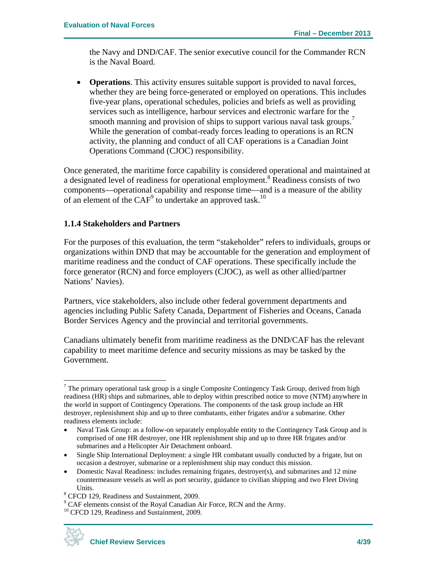the Navy and DND/CAF. The senior executive council for the Commander RCN is the Naval Board.

 **Operations**. This activity ensures suitable support is provided to naval forces, whether they are being force-generated or employed on operations. This includes five-year plans, operational schedules, policies and briefs as well as providing services such as intelligence, harbour services and electronic warfare for the smooth manning and provision of ships to support various naval task groups.<sup>7</sup> While the generation of combat-ready forces leading to operations is an RCN activity, the planning and conduct of all CAF operations is a Canadian Joint Operations Command (CJOC) responsibility.

Once generated, the maritime force capability is considered operational and maintained at a designated level of readiness for operational employment.<sup>8</sup> Readiness consists of two components—operational capability and response time—and is a measure of the ability of an element of the  $\text{CAF}^9$  to undertake an approved task.<sup>10</sup>

#### **1.1.4 Stakeholders and Partners**

For the purposes of this evaluation, the term "stakeholder" refers to individuals, groups or organizations within DND that may be accountable for the generation and employment of maritime readiness and the conduct of CAF operations. These specifically include the force generator (RCN) and force employers (CJOC), as well as other allied/partner Nations' Navies).

Partners, vice stakeholders, also include other federal government departments and agencies including Public Safety Canada, Department of Fisheries and Oceans, Canada Border Services Agency and the provincial and territorial governments.

Canadians ultimately benefit from maritime readiness as the DND/CAF has the relevant capability to meet maritime defence and security missions as may be tasked by the Government.



<sup>&</sup>lt;sup>7</sup> The primary operational task group is a single Composite Contingency Task Group, derived from high readiness (HR) ships and submarines, able to deploy within prescribed notice to move (NTM) anywhere in the world in support of Contingency Operations. The components of the task group include an HR destroyer, replenishment ship and up to three combatants, either frigates and/or a submarine. Other readiness elements include:

Naval Task Group: as a follow-on separately employable entity to the Contingency Task Group and is comprised of one HR destroyer, one HR replenishment ship and up to three HR frigates and/or submarines and a Helicopter Air Detachment onboard.

Single Ship International Deployment: a single HR combatant usually conducted by a frigate, but on occasion a destroyer, submarine or a replenishment ship may conduct this mission.

Domestic Naval Readiness: includes remaining frigates, destroyer(s), and submarines and 12 mine countermeasure vessels as well as port security, guidance to civilian shipping and two Fleet Diving Units.<br> $8 \text{ CECD} 12$ 

<sup>&</sup>lt;sup>8</sup> CFCD 129, Readiness and Sustainment, 2009.

 $\degree$  CAF elements consist of the Royal Canadian Air Force, RCN and the Army. <sup>10</sup> CFCD 129, Readiness and Sustainment, 2009.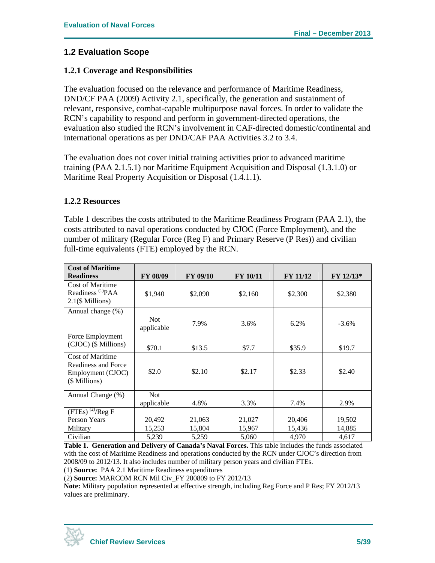### **1.2 Evaluation Scope**

#### **1.2.1 Coverage and Responsibilities**

The evaluation focused on the relevance and performance of Maritime Readiness, DND/CF PAA (2009) Activity 2.1, specifically, the generation and sustainment of relevant, responsive, combat-capable multipurpose naval forces. In order to validate the RCN's capability to respond and perform in government-directed operations, the evaluation also studied the RCN's involvement in CAF-directed domestic/continental and international operations as per DND/CAF PAA Activities 3.2 to 3.4.

The evaluation does not cover initial training activities prior to advanced maritime training (PAA 2.1.5.1) nor Maritime Equipment Acquisition and Disposal (1.3.1.0) or Maritime Real Property Acquisition or Disposal (1.4.1.1).

#### **1.2.2 Resources**

Table 1 describes the costs attributed to the Maritime Readiness Program (PAA 2.1), the costs attributed to naval operations conducted by CJOC (Force Employment), and the number of military (Regular Force (Reg F) and Primary Reserve (P Res)) and civilian full-time equivalents (FTE) employed by the RCN.

| <b>Cost of Maritime</b>                                                              |                   |                 |                 |                 |             |
|--------------------------------------------------------------------------------------|-------------------|-----------------|-----------------|-----------------|-------------|
| <b>Readiness</b>                                                                     | <b>FY 08/09</b>   | <b>FY 09/10</b> | <b>FY 10/11</b> | <b>FY 11/12</b> | $FY 12/13*$ |
| <b>Cost of Maritime</b><br>Readiness <sup>(1)</sup> PAA<br>$2.1$ (\$ Millions)       | \$1,940           | \$2,090         | \$2,160         | \$2,300         | \$2,380     |
| Annual change (%)                                                                    |                   |                 |                 |                 |             |
|                                                                                      | Not<br>applicable | 7.9%            | 3.6%            | 6.2%            | $-3.6\%$    |
| Force Employment                                                                     |                   |                 |                 |                 |             |
| (CJOC) (\$ Millions)                                                                 | \$70.1            | \$13.5          | \$7.7           | \$35.9          | \$19.7      |
| <b>Cost of Maritime</b><br>Readiness and Force<br>Employment (CJOC)<br>(\$ Millions) | \$2.0             | \$2.10          | \$2.17          | \$2.33          | \$2.40      |
| Annual Change (%)                                                                    | <b>Not</b>        |                 |                 |                 |             |
|                                                                                      | applicable        | 4.8%            | 3.3%            | 7.4%            | 2.9%        |
| $(FTEs)$ <sup>(2)</sup> /Reg F                                                       |                   |                 |                 |                 |             |
| Person Years                                                                         | 20,492            | 21,063          | 21,027          | 20,406          | 19,502      |
| Military                                                                             | 15,253            | 15,804          | 15,967          | 15,436          | 14,885      |
| Civilian                                                                             | 5,239             | 5,259           | 5,060           | 4,970           | 4,617       |

**Table 1. Generation and Delivery of Canada's Naval Forces.** This table includes the funds associated with the cost of Maritime Readiness and operations conducted by the RCN under CJOC's direction from 2008/09 to 2012/13. It also includes number of military person years and civilian FTEs.

(1) **Source:** PAA 2.1 Maritime Readiness expenditures

(2) **Source:** MARCOM RCN Mil Civ\_FY 200809 to FY 2012/13

**Note:** Military population represented at effective strength, including Reg Force and P Res; FY 2012/13 values are preliminary.

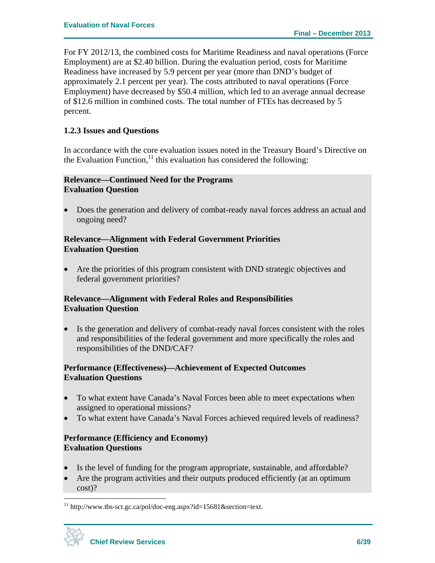For FY 2012/13, the combined costs for Maritime Readiness and naval operations (Force Employment) are at \$2.40 billion. During the evaluation period, costs for Maritime Readiness have increased by 5.9 percent per year (more than DND's budget of approximately 2.1 percent per year). The costs attributed to naval operations (Force Employment) have decreased by \$50.4 million, which led to an average annual decrease of \$12.6 million in combined costs. The total number of FTEs has decreased by 5 percent.

#### **1.2.3 Issues and Questions**

In accordance with the core evaluation issues noted in the Treasury Board's Directive on the Evaluation Function, $11$  this evaluation has considered the following:

### **Relevance—Continued Need for the Programs Evaluation Question**

 Does the generation and delivery of combat-ready naval forces address an actual and ongoing need?

#### **Relevance—Alignment with Federal Government Priorities Evaluation Question**

 Are the priorities of this program consistent with DND strategic objectives and federal government priorities?

#### **Relevance—Alignment with Federal Roles and Responsibilities Evaluation Question**

 Is the generation and delivery of combat-ready naval forces consistent with the roles and responsibilities of the federal government and more specifically the roles and responsibilities of the DND/CAF?

### **Performance (Effectiveness)—Achievement of Expected Outcomes Evaluation Questions**

- To what extent have Canada's Naval Forces been able to meet expectations when assigned to operational missions?
- To what extent have Canada's Naval Forces achieved required levels of readiness?

#### **Performance (Efficiency and Economy) Evaluation Questions**

- Is the level of funding for the program appropriate, sustainable, and affordable?
- Are the program activities and their outputs produced efficiently (at an optimum cost)?

 $11$  http://www.tbs-sct.gc.ca/pol/doc-eng.aspx?id=15681&section=text.

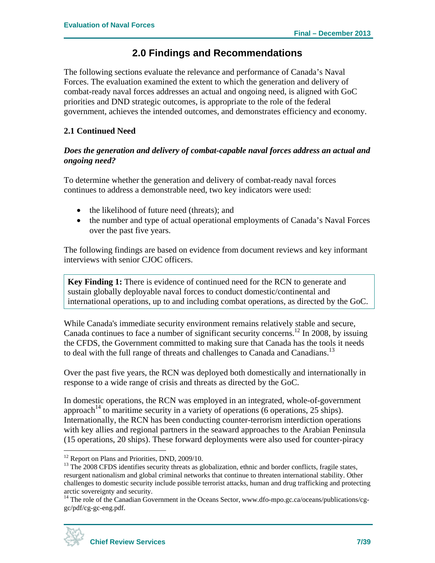## **2.0 Findings and Recommendations**

The following sections evaluate the relevance and performance of Canada's Naval Forces. The evaluation examined the extent to which the generation and delivery of combat-ready naval forces addresses an actual and ongoing need, is aligned with GoC priorities and DND strategic outcomes, is appropriate to the role of the federal government, achieves the intended outcomes, and demonstrates efficiency and economy.

### **2.1 Continued Need**

### *Does the generation and delivery of combat-capable naval forces address an actual and ongoing need?*

To determine whether the generation and delivery of combat-ready naval forces continues to address a demonstrable need, two key indicators were used:

- the likelihood of future need (threats); and
- the number and type of actual operational employments of Canada's Naval Forces over the past five years.

The following findings are based on evidence from document reviews and key informant interviews with senior CJOC officers.

**Key Finding 1:** There is evidence of continued need for the RCN to generate and sustain globally deployable naval forces to conduct domestic/continental and international operations, up to and including combat operations, as directed by the GoC.

While Canada's immediate security environment remains relatively stable and secure, Canada continues to face a number of significant security concerns.<sup>12</sup> In 2008, by issuing the CFDS, the Government committed to making sure that Canada has the tools it needs to deal with the full range of threats and challenges to Canada and Canadians.<sup>13</sup>

Over the past five years, the RCN was deployed both domestically and internationally in response to a wide range of crisis and threats as directed by the GoC.

In domestic operations, the RCN was employed in an integrated, whole-of-government approach<sup>14</sup> to maritime security in a variety of operations (6 operations, 25 ships). Internationally, the RCN has been conducting counter-terrorism interdiction operations with key allies and regional partners in the seaward approaches to the Arabian Peninsula (15 operations, 20 ships). These forward deployments were also used for counter-piracy

<sup>&</sup>lt;sup>14</sup> The role of the Canadian Government in the Oceans Sector, www.dfo-mpo.gc.ca/oceans/publications/cggc/pdf/cg-gc-eng.pdf.



<sup>&</sup>lt;u>.</u>  $12$  Report on Plans and Priorities, DND, 2009/10.

<sup>&</sup>lt;sup>13</sup> The 2008 CFDS identifies security threats as globalization, ethnic and border conflicts, fragile states, resurgent nationalism and global criminal networks that continue to threaten international stability. Other challenges to domestic security include possible terrorist attacks, human and drug trafficking and protecting arctic sovereignty and security.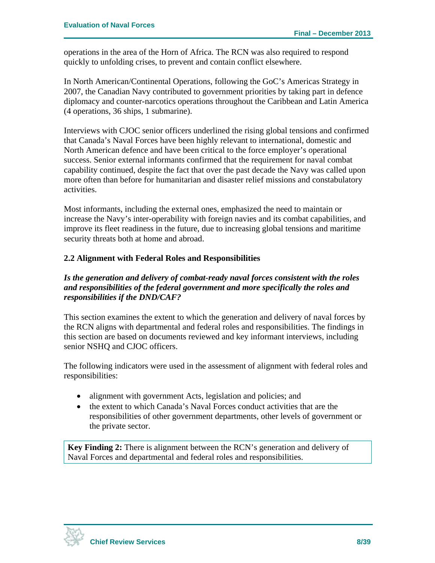operations in the area of the Horn of Africa. The RCN was also required to respond quickly to unfolding crises, to prevent and contain conflict elsewhere.

In North American/Continental Operations, following the GoC's Americas Strategy in 2007, the Canadian Navy contributed to government priorities by taking part in defence diplomacy and counter-narcotics operations throughout the Caribbean and Latin America (4 operations, 36 ships, 1 submarine).

Interviews with CJOC senior officers underlined the rising global tensions and confirmed that Canada's Naval Forces have been highly relevant to international, domestic and North American defence and have been critical to the force employer's operational success. Senior external informants confirmed that the requirement for naval combat capability continued, despite the fact that over the past decade the Navy was called upon more often than before for humanitarian and disaster relief missions and constabulatory activities.

Most informants, including the external ones, emphasized the need to maintain or increase the Navy's inter-operability with foreign navies and its combat capabilities, and improve its fleet readiness in the future, due to increasing global tensions and maritime security threats both at home and abroad.

### **2.2 Alignment with Federal Roles and Responsibilities**

### *Is the generation and delivery of combat-ready naval forces consistent with the roles and responsibilities of the federal government and more specifically the roles and responsibilities if the DND/CAF?*

This section examines the extent to which the generation and delivery of naval forces by the RCN aligns with departmental and federal roles and responsibilities. The findings in this section are based on documents reviewed and key informant interviews, including senior NSHQ and CJOC officers.

The following indicators were used in the assessment of alignment with federal roles and responsibilities:

- alignment with government Acts, legislation and policies; and
- the extent to which Canada's Naval Forces conduct activities that are the responsibilities of other government departments, other levels of government or the private sector.

**Key Finding 2:** There is alignment between the RCN's generation and delivery of Naval Forces and departmental and federal roles and responsibilities.

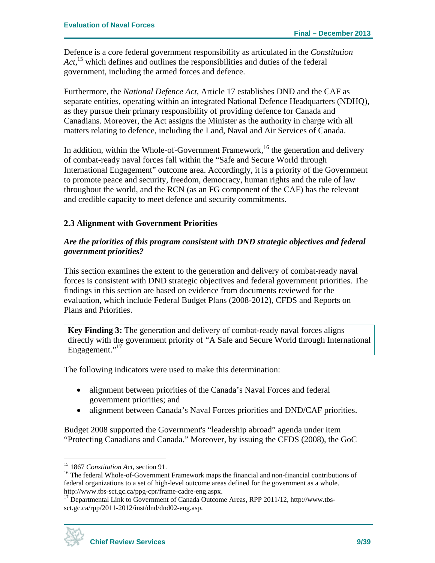Defence is a core federal government responsibility as articulated in the *Constitution Act*, 15 which defines and outlines the responsibilities and duties of the federal government, including the armed forces and defence.

Furthermore, the *National Defence Act*, Article 17 establishes DND and the CAF as separate entities, operating within an integrated National Defence Headquarters (NDHQ), as they pursue their primary responsibility of providing defence for Canada and Canadians. Moreover, the Act assigns the Minister as the authority in charge with all matters relating to defence, including the Land, Naval and Air Services of Canada.

In addition, within the Whole-of-Government Framework,<sup>16</sup> the generation and delivery of combat-ready naval forces fall within the "Safe and Secure World through International Engagement" outcome area. Accordingly, it is a priority of the Government to promote peace and security, freedom, democracy, human rights and the rule of law throughout the world, and the RCN (as an FG component of the CAF) has the relevant and credible capacity to meet defence and security commitments.

### **2.3 Alignment with Government Priorities**

### *Are the priorities of this program consistent with DND strategic objectives and federal government priorities?*

This section examines the extent to the generation and delivery of combat-ready naval forces is consistent with DND strategic objectives and federal government priorities. The findings in this section are based on evidence from documents reviewed for the evaluation, which include Federal Budget Plans (2008-2012), CFDS and Reports on Plans and Priorities.

**Key Finding 3:** The generation and delivery of combat-ready naval forces aligns directly with the government priority of "A Safe and Secure World through International Engagement."<sup>17</sup>

The following indicators were used to make this determination:

- alignment between priorities of the Canada's Naval Forces and federal government priorities; and
- alignment between Canada's Naval Forces priorities and DND/CAF priorities.

Budget 2008 supported the Government's "leadership abroad" agenda under item "Protecting Canadians and Canada." Moreover, by issuing the CFDS (2008), the GoC

http://www.tbs-sct.gc.ca/ppg-cpr/frame-cadre-eng.aspx.<br><sup>17</sup> Departmental Link to Government of Canada Outcome Areas, RPP 2011/12, http://www.tbssct.gc.ca/rpp/2011-2012/inst/dnd/dnd02-eng.asp.



 $15$  1867 Constitution Act, section 91.

<sup>&</sup>lt;sup>16</sup> The federal Whole-of-Government Framework maps the financial and non-financial contributions of federal organizations to a set of high-level outcome areas defined for the government as a whole.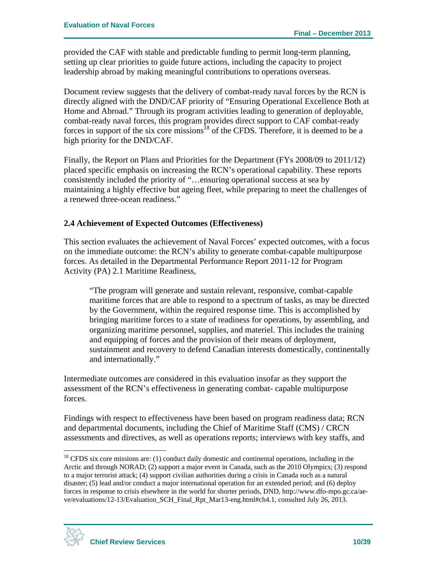provided the CAF with stable and predictable funding to permit long-term planning, setting up clear priorities to guide future actions, including the capacity to project leadership abroad by making meaningful contributions to operations overseas.

Document review suggests that the delivery of combat-ready naval forces by the RCN is directly aligned with the DND/CAF priority of "Ensuring Operational Excellence Both at Home and Abroad." Through its program activities leading to generation of deployable, combat-ready naval forces, this program provides direct support to CAF combat-ready forces in support of the six core missions<sup>18</sup> of the CFDS. Therefore, it is deemed to be a high priority for the DND/CAF.

Finally, the Report on Plans and Priorities for the Department (FYs 2008/09 to 2011/12) placed specific emphasis on increasing the RCN's operational capability. These reports consistently included the priority of "…ensuring operational success at sea by maintaining a highly effective but ageing fleet, while preparing to meet the challenges of a renewed three-ocean readiness."

### **2.4 Achievement of Expected Outcomes (Effectiveness)**

This section evaluates the achievement of Naval Forces' expected outcomes, with a focus on the immediate outcome: the RCN's ability to generate combat-capable multipurpose forces. As detailed in the Departmental Performance Report 2011-12 for Program Activity (PA) 2.1 Maritime Readiness,

"The program will generate and sustain relevant, responsive, combat-capable maritime forces that are able to respond to a spectrum of tasks, as may be directed by the Government, within the required response time. This is accomplished by bringing maritime forces to a state of readiness for operations, by assembling, and organizing maritime personnel, supplies, and materiel. This includes the training and equipping of forces and the provision of their means of deployment, sustainment and recovery to defend Canadian interests domestically, continentally and internationally."

Intermediate outcomes are considered in this evaluation insofar as they support the assessment of the RCN's effectiveness in generating combat- capable multipurpose forces.

Findings with respect to effectiveness have been based on program readiness data; RCN and departmental documents, including the Chief of Maritime Staff (CMS) / CRCN assessments and directives, as well as operations reports; interviews with key staffs, and

<sup>&</sup>lt;sup>18</sup> CFDS six core missions are: (1) conduct daily domestic and continental operations, including in the Arctic and through NORAD; (2) support a major event in Canada, such as the 2010 Olympics; (3) respond to a major terrorist attack; (4) support civilian authorities during a crisis in Canada such as a natural disaster; (5) lead and/or conduct a major international operation for an extended period; and (6) deploy forces in response to crisis elsewhere in the world for shorter periods, DND, http://www.dfo-mpo.gc.ca/aeve/evaluations/12-13/Evaluation\_SCH\_Final\_Rpt\_Mar13-eng.html#ch4.1, consulted July 26, 2013.

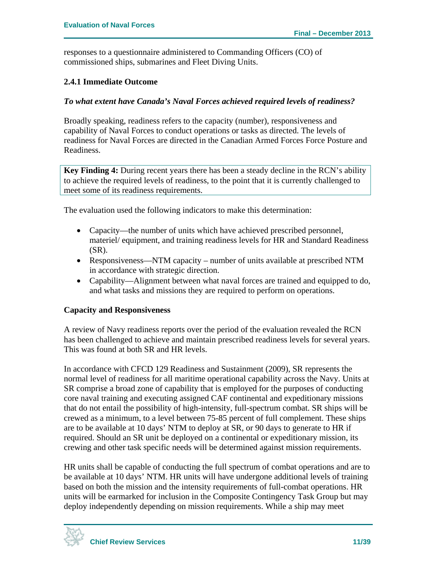responses to a questionnaire administered to Commanding Officers (CO) of commissioned ships, submarines and Fleet Diving Units.

#### **2.4.1 Immediate Outcome**

#### *To what extent have Canada's Naval Forces achieved required levels of readiness?*

Broadly speaking, readiness refers to the capacity (number), responsiveness and capability of Naval Forces to conduct operations or tasks as directed. The levels of readiness for Naval Forces are directed in the Canadian Armed Forces Force Posture and Readiness.

**Key Finding 4:** During recent years there has been a steady decline in the RCN's ability to achieve the required levels of readiness, to the point that it is currently challenged to meet some of its readiness requirements.

The evaluation used the following indicators to make this determination:

- Capacity—the number of units which have achieved prescribed personnel, materiel/ equipment, and training readiness levels for HR and Standard Readiness (SR).
- Responsiveness—NTM capacity number of units available at prescribed NTM in accordance with strategic direction.
- Capability—Alignment between what naval forces are trained and equipped to do, and what tasks and missions they are required to perform on operations.

#### **Capacity and Responsiveness**

A review of Navy readiness reports over the period of the evaluation revealed the RCN has been challenged to achieve and maintain prescribed readiness levels for several years. This was found at both SR and HR levels.

In accordance with CFCD 129 Readiness and Sustainment (2009), SR represents the normal level of readiness for all maritime operational capability across the Navy. Units at SR comprise a broad zone of capability that is employed for the purposes of conducting core naval training and executing assigned CAF continental and expeditionary missions that do not entail the possibility of high-intensity, full-spectrum combat. SR ships will be crewed as a minimum, to a level between 75-85 percent of full complement. These ships are to be available at 10 days' NTM to deploy at SR, or 90 days to generate to HR if required. Should an SR unit be deployed on a continental or expeditionary mission, its crewing and other task specific needs will be determined against mission requirements.

HR units shall be capable of conducting the full spectrum of combat operations and are to be available at 10 days' NTM. HR units will have undergone additional levels of training based on both the mission and the intensity requirements of full-combat operations. HR units will be earmarked for inclusion in the Composite Contingency Task Group but may deploy independently depending on mission requirements. While a ship may meet

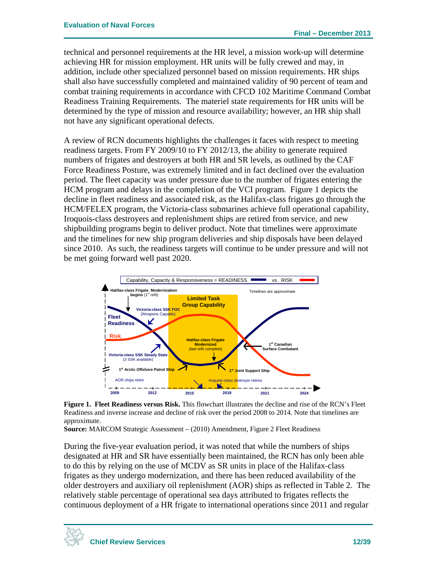technical and personnel requirements at the HR level, a mission work-up will determine achieving HR for mission employment. HR units will be fully crewed and may, in addition, include other specialized personnel based on mission requirements. HR ships shall also have successfully completed and maintained validity of 90 percent of team and combat training requirements in accordance with CFCD 102 Maritime Command Combat Readiness Training Requirements*.* The materiel state requirements for HR units will be determined by the type of mission and resource availability; however, an HR ship shall not have any significant operational defects.

A review of RCN documents highlights the challenges it faces with respect to meeting readiness targets. From FY 2009/10 to FY 2012/13, the ability to generate required numbers of frigates and destroyers at both HR and SR levels, as outlined by the CAF Force Readiness Posture, was extremely limited and in fact declined over the evaluation period. The fleet capacity was under pressure due to the number of frigates entering the HCM program and delays in the completion of the VCI program. Figure 1 depicts the decline in fleet readiness and associated risk, as the Halifax-class frigates go through the HCM/FELEX program, the Victoria-class submarines achieve full operational capability, Iroquois-class destroyers and replenishment ships are retired from service, and new shipbuilding programs begin to deliver product. Note that timelines were approximate and the timelines for new ship program deliveries and ship disposals have been delayed since 2010. As such, the readiness targets will continue to be under pressure and will not be met going forward well past 2020.



**Figure 1. Fleet Readiness versus Risk.** This flowchart illustrates the decline and rise of the RCN's Fleet Readiness and inverse increase and decline of risk over the period 2008 to 2014. Note that timelines are approximate.

**Source:** MARCOM Strategic Assessment – (2010) Amendment, Figure 2 Fleet Readiness

During the five-year evaluation period, it was noted that while the numbers of ships designated at HR and SR have essentially been maintained, the RCN has only been able to do this by relying on the use of MCDV as SR units in place of the Halifax-class frigates as they undergo modernization, and there has been reduced availability of the older destroyers and auxiliary oil replenishment (AOR) ships as reflected in Table 2. The relatively stable percentage of operational sea days attributed to frigates reflects the continuous deployment of a HR frigate to international operations since 2011 and regular

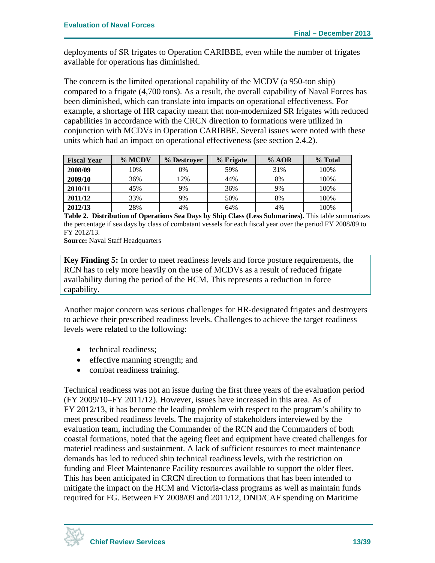deployments of SR frigates to Operation CARIBBE, even while the number of frigates available for operations has diminished.

The concern is the limited operational capability of the MCDV (a 950-ton ship) compared to a frigate (4,700 tons). As a result, the overall capability of Naval Forces has been diminished, which can translate into impacts on operational effectiveness. For example, a shortage of HR capacity meant that non-modernized SR frigates with reduced capabilities in accordance with the CRCN direction to formations were utilized in conjunction with MCDVs in Operation CARIBBE. Several issues were noted with these units which had an impact on operational effectiveness (see section 2.4.2).

| <b>Fiscal Year</b> | % MCDV | % Destroyer | % Frigate | % AOR | % Total |
|--------------------|--------|-------------|-----------|-------|---------|
| 2008/09            | 10%    | 0%          | 59%       | 31%   | 100%    |
| 2009/10            | 36%    | 12%         | 44%       | 8%    | 100%    |
| 2010/11            | 45%    | 9%          | 36%       | 9%    | 100%    |
| 2011/12            | 33%    | 9%          | 50%       | 8%    | 100%    |
| 2012/13            | 28%    | 4%          | 64%       | 4%    | 100%    |

**Table 2. Distribution of Operations Sea Days by Ship Class (Less Submarines).** This table summarizes the percentage if sea days by class of combatant vessels for each fiscal year over the period FY 2008/09 to FY 2012/13.

**Source:** Naval Staff Headquarters

**Key Finding 5:** In order to meet readiness levels and force posture requirements, the RCN has to rely more heavily on the use of MCDVs as a result of reduced frigate availability during the period of the HCM. This represents a reduction in force capability.

Another major concern was serious challenges for HR-designated frigates and destroyers to achieve their prescribed readiness levels. Challenges to achieve the target readiness levels were related to the following:

- technical readiness;
- effective manning strength; and
- combat readiness training.

Technical readiness was not an issue during the first three years of the evaluation period (FY 2009/10–FY 2011/12). However, issues have increased in this area. As of FY 2012/13, it has become the leading problem with respect to the program's ability to meet prescribed readiness levels. The majority of stakeholders interviewed by the evaluation team, including the Commander of the RCN and the Commanders of both coastal formations, noted that the ageing fleet and equipment have created challenges for materiel readiness and sustainment. A lack of sufficient resources to meet maintenance demands has led to reduced ship technical readiness levels, with the restriction on funding and Fleet Maintenance Facility resources available to support the older fleet. This has been anticipated in CRCN direction to formations that has been intended to mitigate the impact on the HCM and Victoria-class programs as well as maintain funds required for FG. Between FY 2008/09 and 2011/12, DND/CAF spending on Maritime

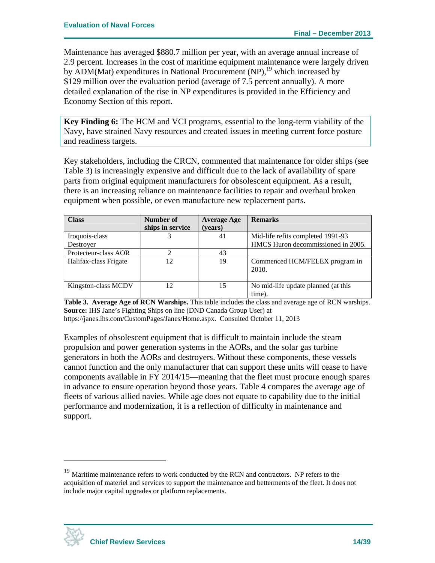Maintenance has averaged \$880.7 million per year, with an average annual increase of 2.9 percent. Increases in the cost of maritime equipment maintenance were largely driven by ADM(Mat) expenditures in National Procurement  $(NP)$ , <sup>19</sup> which increased by \$129 million over the evaluation period (average of 7.5 percent annually). A more detailed explanation of the rise in NP expenditures is provided in the Efficiency and Economy Section of this report.

**Key Finding 6:** The HCM and VCI programs, essential to the long-term viability of the Navy, have strained Navy resources and created issues in meeting current force posture and readiness targets.

Key stakeholders, including the CRCN, commented that maintenance for older ships (see Table 3) is increasingly expensive and difficult due to the lack of availability of spare parts from original equipment manufacturers for obsolescent equipment. As a result, there is an increasing reliance on maintenance facilities to repair and overhaul broken equipment when possible, or even manufacture new replacement parts.

| <b>Class</b>          | Number of        | <b>Average Age</b> | <b>Remarks</b>                               |
|-----------------------|------------------|--------------------|----------------------------------------------|
|                       | ships in service | (years)            |                                              |
| Iroquois-class        |                  | 41                 | Mid-life refits completed 1991-93            |
| Destroyer             |                  |                    | HMCS Huron decommissioned in 2005.           |
| Protecteur-class AOR  |                  | 43                 |                                              |
| Halifax-class Frigate | 12               | 19                 | Commenced HCM/FELEX program in<br>2010.      |
| Kingston-class MCDV   | 12               | 15                 | No mid-life update planned (at this<br>time) |

**Table 3. Average Age of RCN Warships.** This table includes the class and average age of RCN warships. **Source:** IHS Jane's Fighting Ships on line (DND Canada Group User) at https://janes.ihs.com/CustomPages/Janes/Home.aspx. Consulted October 11, 2013

Examples of obsolescent equipment that is difficult to maintain include the steam propulsion and power generation systems in the AORs, and the solar gas turbine generators in both the AORs and destroyers. Without these components, these vessels cannot function and the only manufacturer that can support these units will cease to have components available in FY 2014/15—meaning that the fleet must procure enough spares in advance to ensure operation beyond those years. Table 4 compares the average age of fleets of various allied navies. While age does not equate to capability due to the initial performance and modernization, it is a reflection of difficulty in maintenance and support.



<u>.</u>

<sup>&</sup>lt;sup>19</sup> Maritime maintenance refers to work conducted by the RCN and contractors. NP refers to the acquisition of materiel and services to support the maintenance and betterments of the fleet. It does not include major capital upgrades or platform replacements.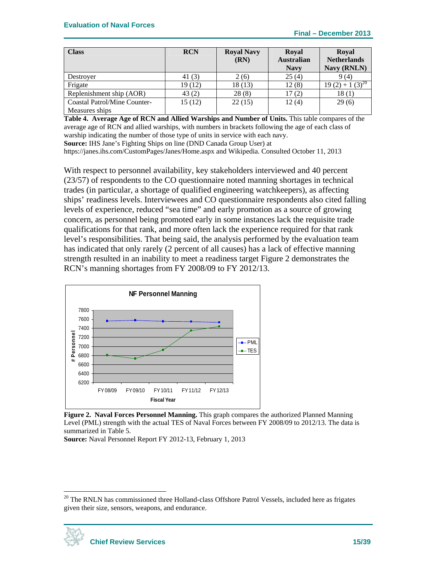| <b>Class</b>                 | <b>RCN</b> | <b>Royal Navy</b><br>(RN) | <b>Royal</b><br><b>Australian</b><br><b>Navy</b> | <b>Royal</b><br><b>Netherlands</b><br>Navy (RNLN) |
|------------------------------|------------|---------------------------|--------------------------------------------------|---------------------------------------------------|
| Destroyer                    | 41 (3)     | 2(6)                      | 25(4)                                            | 9(4)                                              |
| Frigate                      | 19 (12)    | 18 (13)                   | 12(8)                                            | $19(2) + 1(3)^{20}$                               |
| Replenishment ship (AOR)     | 43(2)      | 28(8)                     | 17(2)                                            | 18(1)                                             |
| Coastal Patrol/Mine Counter- | 15(12)     | 22(15)                    | 12(4)                                            | 29(6)                                             |
| Measures ships               |            |                           |                                                  |                                                   |

**Table 4. Average Age of RCN and Allied Warships and Number of Units.** This table compares of the average age of RCN and allied warships, with numbers in brackets following the age of each class of warship indicating the number of those type of units in service with each navy.

**Source:** IHS Jane's Fighting Ships on line (DND Canada Group User) at

https://janes.ihs.com/CustomPages/Janes/Home.aspx and Wikipedia. Consulted October 11, 2013

With respect to personnel availability, key stakeholders interviewed and 40 percent (23/57) of respondents to the CO questionnaire noted manning shortages in technical trades (in particular, a shortage of qualified engineering watchkeepers), as affecting ships' readiness levels. Interviewees and CO questionnaire respondents also cited falling levels of experience, reduced "sea time" and early promotion as a source of growing concern, as personnel being promoted early in some instances lack the requisite trade qualifications for that rank, and more often lack the experience required for that rank level's responsibilities. That being said, the analysis performed by the evaluation team has indicated that only rarely (2 percent of all causes) has a lack of effective manning strength resulted in an inability to meet a readiness target Figure 2 demonstrates the RCN's manning shortages from FY 2008/09 to FY 2012/13.



**Figure 2. Naval Forces Personnel Manning.** This graph compares the authorized Planned Manning Level (PML) strength with the actual TES of Naval Forces between FY 2008/09 to 2012/13. The data is summarized in Table 5.

**Source:** Naval Personnel Report FY 2012-13, February 1, 2013

<sup>&</sup>lt;sup>20</sup> The RNLN has commissioned three Holland-class Offshore Patrol Vessels, included here as frigates given their size, sensors, weapons, and endurance.

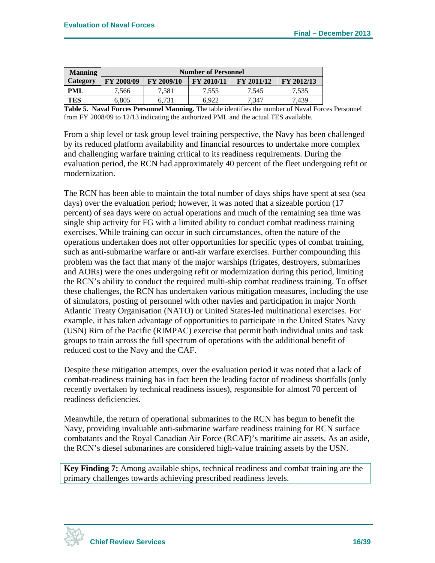| <b>Manning</b>  | <b>Number of Personnel</b> |            |            |                   |            |  |
|-----------------|----------------------------|------------|------------|-------------------|------------|--|
| <b>Category</b> | FY 2008/09                 | FY 2009/10 | FY 2010/11 | <b>FY 2011/12</b> | FY 2012/13 |  |
| PML             | 7,566                      | 7,581      | 7.555      | 7.545             | 7,535      |  |
| TES             | 6,805                      | 6.731      | 6.922      | 7,347             | 7,439      |  |

**Table 5. Naval Forces Personnel Manning.** The table identifies the number of Naval Forces Personnel from FY 2008/09 to 12/13 indicating the authorized PML and the actual TES available.

From a ship level or task group level training perspective, the Navy has been challenged by its reduced platform availability and financial resources to undertake more complex and challenging warfare training critical to its readiness requirements. During the evaluation period, the RCN had approximately 40 percent of the fleet undergoing refit or modernization.

The RCN has been able to maintain the total number of days ships have spent at sea (sea days) over the evaluation period; however, it was noted that a sizeable portion (17 percent) of sea days were on actual operations and much of the remaining sea time was single ship activity for FG with a limited ability to conduct combat readiness training exercises. While training can occur in such circumstances, often the nature of the operations undertaken does not offer opportunities for specific types of combat training, such as anti-submarine warfare or anti-air warfare exercises. Further compounding this problem was the fact that many of the major warships (frigates, destroyers, submarines and AORs) were the ones undergoing refit or modernization during this period, limiting the RCN's ability to conduct the required multi-ship combat readiness training. To offset these challenges, the RCN has undertaken various mitigation measures, including the use of simulators, posting of personnel with other navies and participation in major North Atlantic Treaty Organisation (NATO) or United States-led multinational exercises. For example, it has taken advantage of opportunities to participate in the United States Navy (USN) Rim of the Pacific (RIMPAC) exercise that permit both individual units and task groups to train across the full spectrum of operations with the additional benefit of reduced cost to the Navy and the CAF.

Despite these mitigation attempts, over the evaluation period it was noted that a lack of combat-readiness training has in fact been the leading factor of readiness shortfalls (only recently overtaken by technical readiness issues), responsible for almost 70 percent of readiness deficiencies.

Meanwhile, the return of operational submarines to the RCN has begun to benefit the Navy, providing invaluable anti-submarine warfare readiness training for RCN surface combatants and the Royal Canadian Air Force (RCAF)'s maritime air assets. As an aside, the RCN's diesel submarines are considered high-value training assets by the USN.

**Key Finding 7:** Among available ships, technical readiness and combat training are the primary challenges towards achieving prescribed readiness levels.

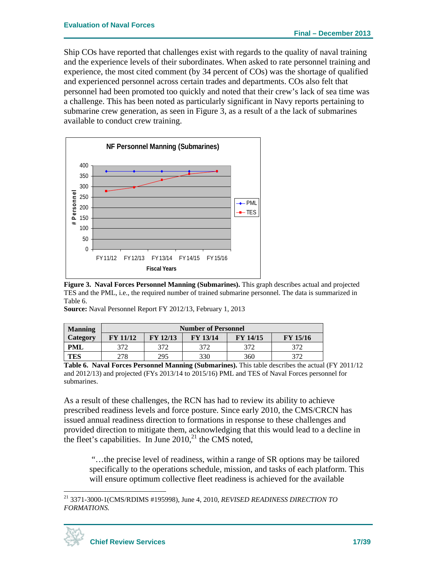Ship COs have reported that challenges exist with regards to the quality of naval training and the experience levels of their subordinates. When asked to rate personnel training and experience, the most cited comment (by 34 percent of COs) was the shortage of qualified and experienced personnel across certain trades and departments. COs also felt that personnel had been promoted too quickly and noted that their crew's lack of sea time was a challenge. This has been noted as particularly significant in Navy reports pertaining to submarine crew generation, as seen in Figure 3, as a result of a the lack of submarines available to conduct crew training.



**Figure 3. Naval Forces Personnel Manning (Submarines).** This graph describes actual and projected TES and the PML, i.e., the required number of trained submarine personnel. The data is summarized in Table 6.

|  | Source: Naval Personnel Report FY 2012/13, February 1, 2013 |
|--|-------------------------------------------------------------|
|--|-------------------------------------------------------------|

| <b>Manning</b>  | <b>Number of Personnel</b> |                 |                 |                 |                 |  |
|-----------------|----------------------------|-----------------|-----------------|-----------------|-----------------|--|
| <b>Category</b> | <b>FY 11/12</b>            | <b>FY 12/13</b> | <b>FY 13/14</b> | <b>FY 14/15</b> | <b>FY 15/16</b> |  |
| PML             | 372                        | 372             | 372             |                 |                 |  |
| <b>TES</b>      | 278                        | 295             | 330             | 360             |                 |  |

**Table 6. Naval Forces Personnel Manning (Submarines).** This table describes the actual (FY 2011/12 and 2012/13) and projected (FYs 2013/14 to 2015/16) PML and TES of Naval Forces personnel for submarines.

As a result of these challenges, the RCN has had to review its ability to achieve prescribed readiness levels and force posture. Since early 2010, the CMS/CRCN has issued annual readiness direction to formations in response to these challenges and provided direction to mitigate them, acknowledging that this would lead to a decline in the fleet's capabilities. In June  $2010$ ,<sup>21</sup> the CMS noted,

 "…the precise level of readiness, within a range of SR options may be tailored specifically to the operations schedule, mission, and tasks of each platform. This will ensure optimum collective fleet readiness is achieved for the available

<sup>21 3371-3000-1(</sup>CMS/RDIMS #195998), June 4, 2010, *REVISED READINESS DIRECTION TO FORMATIONS.* 



1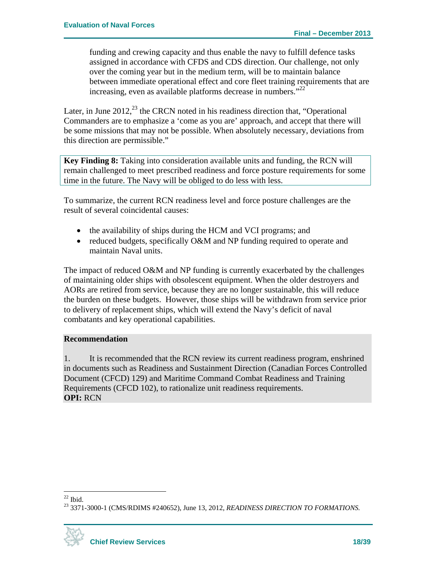funding and crewing capacity and thus enable the navy to fulfill defence tasks assigned in accordance with CFDS and CDS direction. Our challenge, not only over the coming year but in the medium term, will be to maintain balance between immediate operational effect and core fleet training requirements that are increasing, even as available platforms decrease in numbers."<sup>22</sup>

Later, in June  $2012<sup>23</sup>$ , the CRCN noted in his readiness direction that, "Operational Commanders are to emphasize a 'come as you are' approach, and accept that there will be some missions that may not be possible. When absolutely necessary, deviations from this direction are permissible."

**Key Finding 8:** Taking into consideration available units and funding, the RCN will remain challenged to meet prescribed readiness and force posture requirements for some time in the future. The Navy will be obliged to do less with less.

To summarize, the current RCN readiness level and force posture challenges are the result of several coincidental causes:

- the availability of ships during the HCM and VCI programs; and
- reduced budgets, specifically O&M and NP funding required to operate and maintain Naval units.

The impact of reduced O&M and NP funding is currently exacerbated by the challenges of maintaining older ships with obsolescent equipment. When the older destroyers and AORs are retired from service, because they are no longer sustainable, this will reduce the burden on these budgets. However, those ships will be withdrawn from service prior to delivery of replacement ships, which will extend the Navy's deficit of naval combatants and key operational capabilities.

#### **Recommendation**

1. It is recommended that the RCN review its current readiness program, enshrined in documents such as Readiness and Sustainment Direction (Canadian Forces Controlled Document (CFCD) 129) and Maritime Command Combat Readiness and Training Requirements (CFCD 102), to rationalize unit readiness requirements. **OPI:** RCN

<sup>23 3371-3000-1 (</sup>CMS/RDIMS #240652), June 13, 2012, *READINESS DIRECTION TO FORMATIONS.* 



 $\overline{a}$  $22$  Ibid.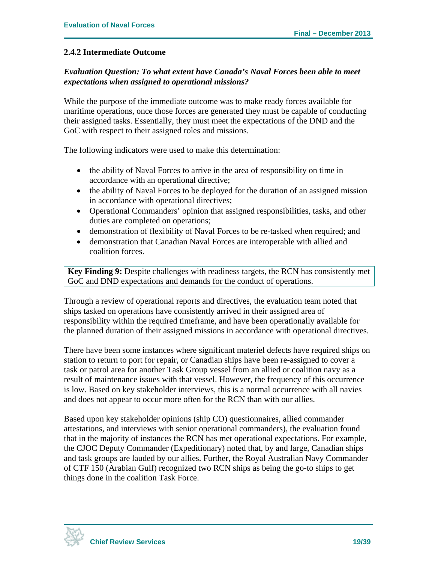#### **2.4.2 Intermediate Outcome**

#### *Evaluation Question: To what extent have Canada's Naval Forces been able to meet expectations when assigned to operational missions?*

While the purpose of the immediate outcome was to make ready forces available for maritime operations, once those forces are generated they must be capable of conducting their assigned tasks. Essentially, they must meet the expectations of the DND and the GoC with respect to their assigned roles and missions.

The following indicators were used to make this determination:

- the ability of Naval Forces to arrive in the area of responsibility on time in accordance with an operational directive;
- the ability of Naval Forces to be deployed for the duration of an assigned mission in accordance with operational directives;
- Operational Commanders' opinion that assigned responsibilities, tasks, and other duties are completed on operations;
- demonstration of flexibility of Naval Forces to be re-tasked when required; and
- demonstration that Canadian Naval Forces are interoperable with allied and coalition forces.

**Key Finding 9:** Despite challenges with readiness targets, the RCN has consistently met GoC and DND expectations and demands for the conduct of operations.

Through a review of operational reports and directives, the evaluation team noted that ships tasked on operations have consistently arrived in their assigned area of responsibility within the required timeframe, and have been operationally available for the planned duration of their assigned missions in accordance with operational directives.

There have been some instances where significant materiel defects have required ships on station to return to port for repair, or Canadian ships have been re-assigned to cover a task or patrol area for another Task Group vessel from an allied or coalition navy as a result of maintenance issues with that vessel. However, the frequency of this occurrence is low. Based on key stakeholder interviews, this is a normal occurrence with all navies and does not appear to occur more often for the RCN than with our allies.

Based upon key stakeholder opinions (ship CO) questionnaires, allied commander attestations, and interviews with senior operational commanders), the evaluation found that in the majority of instances the RCN has met operational expectations. For example, the CJOC Deputy Commander (Expeditionary) noted that, by and large, Canadian ships and task groups are lauded by our allies. Further, the Royal Australian Navy Commander of CTF 150 (Arabian Gulf) recognized two RCN ships as being the go-to ships to get things done in the coalition Task Force.

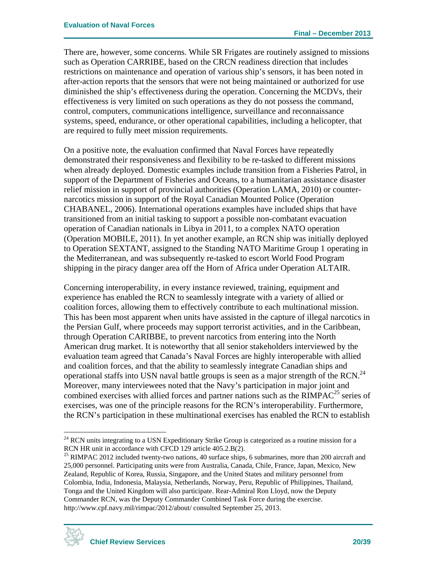There are, however, some concerns. While SR Frigates are routinely assigned to missions such as Operation CARRIBE, based on the CRCN readiness direction that includes restrictions on maintenance and operation of various ship's sensors, it has been noted in after-action reports that the sensors that were not being maintained or authorized for use diminished the ship's effectiveness during the operation. Concerning the MCDVs, their effectiveness is very limited on such operations as they do not possess the command, control, computers, communications intelligence, surveillance and reconnaissance systems, speed, endurance, or other operational capabilities, including a helicopter, that are required to fully meet mission requirements.

On a positive note, the evaluation confirmed that Naval Forces have repeatedly demonstrated their responsiveness and flexibility to be re-tasked to different missions when already deployed. Domestic examples include transition from a Fisheries Patrol, in support of the Department of Fisheries and Oceans, to a humanitarian assistance disaster relief mission in support of provincial authorities (Operation LAMA, 2010) or counternarcotics mission in support of the Royal Canadian Mounted Police (Operation CHABANEL, 2006). International operations examples have included ships that have transitioned from an initial tasking to support a possible non-combatant evacuation operation of Canadian nationals in Libya in 2011, to a complex NATO operation (Operation MOBILE, 2011). In yet another example, an RCN ship was initially deployed to Operation SEXTANT, assigned to the Standing NATO Maritime Group 1 operating in the Mediterranean, and was subsequently re-tasked to escort World Food Program shipping in the piracy danger area off the Horn of Africa under Operation ALTAIR.

Concerning interoperability, in every instance reviewed, training, equipment and experience has enabled the RCN to seamlessly integrate with a variety of allied or coalition forces, allowing them to effectively contribute to each multinational mission. This has been most apparent when units have assisted in the capture of illegal narcotics in the Persian Gulf, where proceeds may support terrorist activities, and in the Caribbean, through Operation CARIBBE, to prevent narcotics from entering into the North American drug market. It is noteworthy that all senior stakeholders interviewed by the evaluation team agreed that Canada's Naval Forces are highly interoperable with allied and coalition forces, and that the ability to seamlessly integrate Canadian ships and operational staffs into USN naval battle groups is seen as a major strength of the RCN.<sup>24</sup> Moreover, many interviewees noted that the Navy's participation in major joint and combined exercises with allied forces and partner nations such as the  $RIMPAC<sup>25</sup>$  series of exercises, was one of the principle reasons for the RCN's interoperability. Furthermore, the RCN's participation in these multinational exercises has enabled the RCN to establish

<sup>&</sup>lt;sup>25</sup> RIMPAC 2012 included twenty-two nations, 40 surface ships, 6 submarines, more than 200 aircraft and 25,000 personnel. Participating units were from Australia, Canada, Chile, France, Japan, Mexico, New Zealand, Republic of Korea, Russia, Singapore, and the United States and military personnel from Colombia, India, Indonesia, Malaysia, Netherlands, Norway, Peru, Republic of Philippines, Thailand, Tonga and the United Kingdom will also participate. Rear-Admiral Ron Lloyd, now the Deputy Commander RCN, was the Deputy Commander Combined Task Force during the exercise. http://www.cpf.navy.mil/rimpac/2012/about/ consulted September 25, 2013.



 $\overline{a}$  $24$  RCN units integrating to a USN Expeditionary Strike Group is categorized as a routine mission for a RCN HR unit in accordance with CFCD 129 article 405.2.B(2).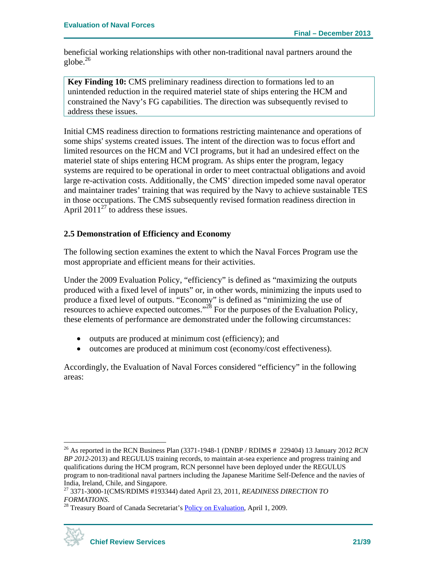beneficial working relationships with other non-traditional naval partners around the globe. $^{26}$ 

**Key Finding 10:** CMS preliminary readiness direction to formations led to an unintended reduction in the required materiel state of ships entering the HCM and constrained the Navy's FG capabilities. The direction was subsequently revised to address these issues.

Initial CMS readiness direction to formations restricting maintenance and operations of some ships' systems created issues. The intent of the direction was to focus effort and limited resources on the HCM and VCI programs, but it had an undesired effect on the materiel state of ships entering HCM program. As ships enter the program, legacy systems are required to be operational in order to meet contractual obligations and avoid large re-activation costs. Additionally, the CMS' direction impeded some naval operator and maintainer trades' training that was required by the Navy to achieve sustainable TES in those occupations. The CMS subsequently revised formation readiness direction in April 2011<sup>27</sup> to address these issues.

#### **2.5 Demonstration of Efficiency and Economy**

The following section examines the extent to which the Naval Forces Program use the most appropriate and efficient means for their activities.

Under the 2009 Evaluation Policy, "efficiency" is defined as "maximizing the outputs produced with a fixed level of inputs" or, in other words, minimizing the inputs used to produce a fixed level of outputs. "Economy" is defined as "minimizing the use of resources to achieve expected outcomes."28 For the purposes of the Evaluation Policy, these elements of performance are demonstrated under the following circumstances:

- outputs are produced at minimum cost (efficiency); and
- outcomes are produced at minimum cost (economy/cost effectiveness).

Accordingly, the Evaluation of Naval Forces considered "efficiency" in the following areas:

<sup>&</sup>lt;sup>28</sup> Treasury Board of Canada Secretariat's **Policy on Evaluation**, April 1, 2009.



<sup>&</sup>lt;sup>26</sup> As reported in the RCN Business Plan (3371-1948-1 (DNBP / RDIMS # 229404) 13 January 2012 *RCN BP 2012-*2013) and REGULUS training records, to maintain at-sea experience and progress training and qualifications during the HCM program, RCN personnel have been deployed under the REGULUS program to non-traditional naval partners including the Japanese Maritime Self-Defence and the navies of India, Ireland, Chile, and Singapore.

<sup>27 3371-3000-1(</sup>CMS/RDIMS #193344) dated April 23, 2011, *READINESS DIRECTION TO*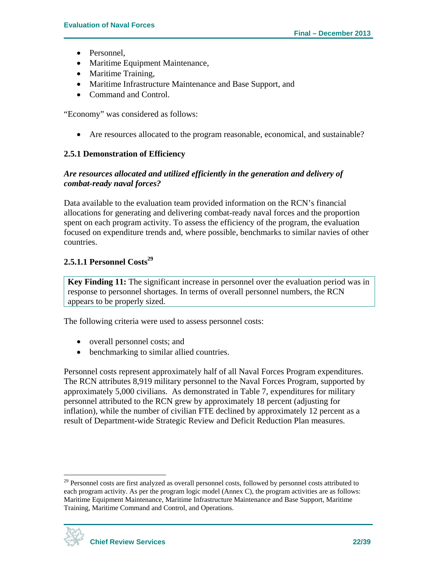- Personnel.
- Maritime Equipment Maintenance,
- Maritime Training,
- Maritime Infrastructure Maintenance and Base Support, and
- Command and Control.

"Economy" was considered as follows:

Are resources allocated to the program reasonable, economical, and sustainable?

### **2.5.1 Demonstration of Efficiency**

#### *Are resources allocated and utilized efficiently in the generation and delivery of combat-ready naval forces?*

Data available to the evaluation team provided information on the RCN's financial allocations for generating and delivering combat-ready naval forces and the proportion spent on each program activity. To assess the efficiency of the program, the evaluation focused on expenditure trends and, where possible, benchmarks to similar navies of other countries.

### **2.5.1.1 Personnel Costs<sup>29</sup>**

**Key Finding 11:** The significant increase in personnel over the evaluation period was in response to personnel shortages. In terms of overall personnel numbers, the RCN appears to be properly sized.

The following criteria were used to assess personnel costs:

- overall personnel costs; and
- benchmarking to similar allied countries.

Personnel costs represent approximately half of all Naval Forces Program expenditures. The RCN attributes 8,919 military personnel to the Naval Forces Program, supported by approximately 5,000 civilians. As demonstrated in Table 7, expenditures for military personnel attributed to the RCN grew by approximately 18 percent (adjusting for inflation), while the number of civilian FTE declined by approximately 12 percent as a result of Department-wide Strategic Review and Deficit Reduction Plan measures.

<sup>&</sup>lt;sup>29</sup> Personnel costs are first analyzed as overall personnel costs, followed by personnel costs attributed to each program activity. As per the program logic model (Annex C), the program activities are as follows: Maritime Equipment Maintenance, Maritime Infrastructure Maintenance and Base Support, Maritime Training, Maritime Command and Control, and Operations.

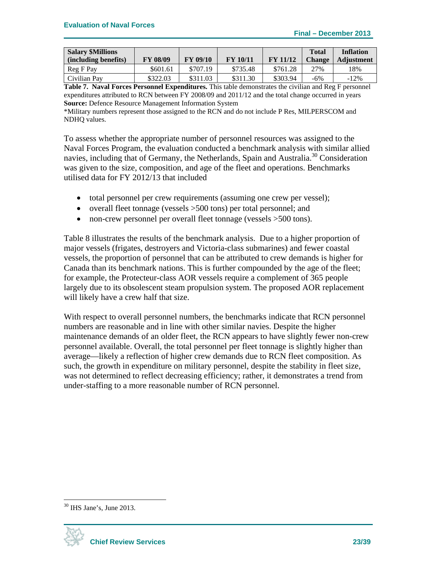| <b>Salary \$Millions</b> |                 |                 |                 |                 | <b>Total</b>  | <b>Inflation</b>  |
|--------------------------|-----------------|-----------------|-----------------|-----------------|---------------|-------------------|
| (including benefits)     | <b>FY 08/09</b> | <b>FY 09/10</b> | <b>FY 10/11</b> | <b>FY 11/12</b> | <b>Change</b> | <b>Adjustment</b> |
| Reg F Pay                | \$601.61        | \$707.19        | \$735.48        | \$761.28        | 27%           | ! 8%              |
| Civilian Pav             | \$322.03        | \$311.03        | \$311.30        | \$303.94        | $-6\%$        | $-12\%$           |

**Table 7. Naval Forces Personnel Expenditures.** This table demonstrates the civilian and Reg F personnel expenditures attributed to RCN between FY 2008/09 and 2011/12 and the total change occurred in years **Source:** Defence Resource Management Information System

\*Military numbers represent those assigned to the RCN and do not include P Res, MILPERSCOM and NDHQ values.

To assess whether the appropriate number of personnel resources was assigned to the Naval Forces Program, the evaluation conducted a benchmark analysis with similar allied navies, including that of Germany, the Netherlands, Spain and Australia.<sup>30</sup> Consideration was given to the size, composition, and age of the fleet and operations. Benchmarks utilised data for FY 2012/13 that included

- total personnel per crew requirements (assuming one crew per vessel);
- overall fleet tonnage (vessels > 500 tons) per total personnel; and
- non-crew personnel per overall fleet tonnage (vessels  $>500$  tons).

Table 8 illustrates the results of the benchmark analysis. Due to a higher proportion of major vessels (frigates, destroyers and Victoria-class submarines) and fewer coastal vessels, the proportion of personnel that can be attributed to crew demands is higher for Canada than its benchmark nations. This is further compounded by the age of the fleet; for example, the Protecteur-class AOR vessels require a complement of 365 people largely due to its obsolescent steam propulsion system. The proposed AOR replacement will likely have a crew half that size.

With respect to overall personnel numbers, the benchmarks indicate that RCN personnel numbers are reasonable and in line with other similar navies. Despite the higher maintenance demands of an older fleet, the RCN appears to have slightly fewer non-crew personnel available. Overall, the total personnel per fleet tonnage is slightly higher than average—likely a reflection of higher crew demands due to RCN fleet composition. As such, the growth in expenditure on military personnel, despite the stability in fleet size, was not determined to reflect decreasing efficiency; rather, it demonstrates a trend from under-staffing to a more reasonable number of RCN personnel.

 $30$  IHS Jane's, June 2013.

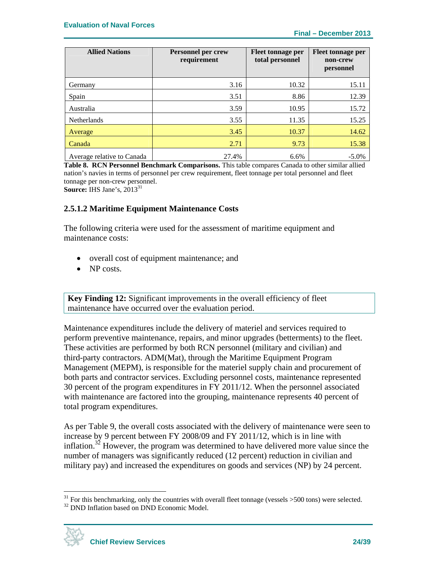| <b>Allied Nations</b>      | Personnel per crew<br>requirement | <b>Fleet tonnage per</b><br>total personnel | Fleet tonnage per<br>non-crew<br>personnel |
|----------------------------|-----------------------------------|---------------------------------------------|--------------------------------------------|
| Germany                    | 3.16                              | 10.32                                       | 15.11                                      |
| Spain                      | 3.51                              | 8.86                                        | 12.39                                      |
| Australia                  | 3.59                              | 10.95                                       | 15.72                                      |
| <b>Netherlands</b>         | 3.55                              | 11.35                                       | 15.25                                      |
| Average                    | 3.45                              | 10.37                                       | 14.62                                      |
| Canada                     | 2.71                              | 9.73                                        | 15.38                                      |
| Average relative to Canada | 27.4%                             | 6.6%                                        | $-5.0\%$                                   |

**Table 8. RCN Personnel Benchmark Comparisons.** This table compares Canada to other similar allied nation's navies in terms of personnel per crew requirement, fleet tonnage per total personnel and fleet tonnage per non-crew personnel.

**Source: IHS** Jane's, 2013<sup>31</sup>

#### **2.5.1.2 Maritime Equipment Maintenance Costs**

The following criteria were used for the assessment of maritime equipment and maintenance costs:

- overall cost of equipment maintenance; and
- NP costs.

**Key Finding 12:** Significant improvements in the overall efficiency of fleet maintenance have occurred over the evaluation period.

Maintenance expenditures include the delivery of materiel and services required to perform preventive maintenance, repairs, and minor upgrades (betterments) to the fleet. These activities are performed by both RCN personnel (military and civilian) and third-party contractors. ADM(Mat), through the Maritime Equipment Program Management (MEPM), is responsible for the materiel supply chain and procurement of both parts and contractor services. Excluding personnel costs, maintenance represented 30 percent of the program expenditures in FY 2011/12. When the personnel associated with maintenance are factored into the grouping, maintenance represents 40 percent of total program expenditures.

As per Table 9, the overall costs associated with the delivery of maintenance were seen to increase by 9 percent between FY 2008/09 and FY 2011/12, which is in line with inflation.<sup>32</sup> However, the program was determined to have delivered more value since the number of managers was significantly reduced (12 percent) reduction in civilian and military pay) and increased the expenditures on goods and services (NP) by 24 percent.



1

<sup>&</sup>lt;sup>31</sup> For this benchmarking, only the countries with overall fleet tonnage (vessels  $>500$  tons) were selected. <sup>32</sup> DND Inflation based on DND Economic Model.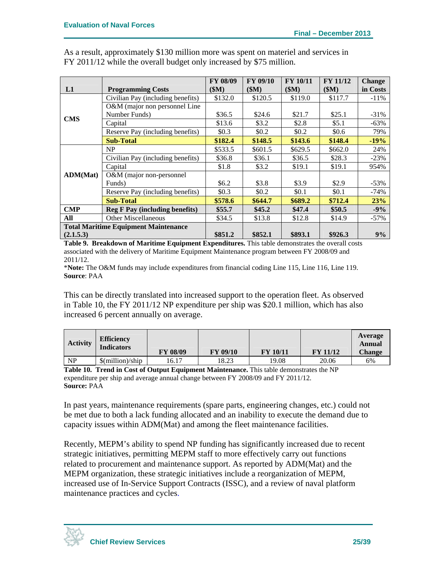|                                             |                                       | <b>FY 08/09</b> | <b>FY 09/10</b> | <b>FY 10/11</b> | <b>FY 11/12</b> | <b>Change</b> |
|---------------------------------------------|---------------------------------------|-----------------|-----------------|-----------------|-----------------|---------------|
| L1                                          | <b>Programming Costs</b>              | \$M\$           | \$M)            | \$M)            | \$M\$           | in Costs      |
|                                             | Civilian Pay (including benefits)     | \$132.0         | \$120.5         | \$119.0         | \$117.7         | $-11%$        |
|                                             | O&M (major non personnel Line         |                 |                 |                 |                 |               |
| <b>CMS</b>                                  | Number Funds)                         | \$36.5          | \$24.6          | \$21.7          | \$25.1          | $-31\%$       |
|                                             | Capital                               | \$13.6          | \$3.2           | \$2.8           | \$5.1           | $-63%$        |
|                                             | Reserve Pay (including benefits)      | \$0.3\$         | \$0.2\$         | \$0.2           | \$0.6\$         | 79%           |
|                                             | <b>Sub-Total</b>                      | \$182.4         | \$148.5         | \$143.6         | \$148.4         | $-19%$        |
|                                             | NP                                    | \$533.5         | \$601.5         | \$629.5         | \$662.0         | 24%           |
|                                             | Civilian Pay (including benefits)     | \$36.8          | \$36.1          | \$36.5          | \$28.3          | $-23%$        |
|                                             | Capital                               | \$1.8           | \$3.2\$         | \$19.1          | \$19.1          | 954%          |
| ADM(Mat)                                    | O&M (major non-personnel              |                 |                 |                 |                 |               |
|                                             | Funds)                                | \$6.2\$         | \$3.8           | \$3.9           | \$2.9           | $-53%$        |
|                                             | Reserve Pay (including benefits)      | \$0.3\$         | \$0.2           | \$0.1           | \$0.1           | $-74\%$       |
|                                             | <b>Sub-Total</b>                      | \$578.6         | \$644.7         | \$689.2         | \$712.4         | 23%           |
| <b>CMP</b>                                  | <b>Reg F Pay (including benefits)</b> | \$55.7          | \$45.2\$        | \$47.4          | \$50.5          | $-9%$         |
| <b>Other Miscellaneous</b><br>All           |                                       | \$34.5          | \$13.8          | \$12.8          | \$14.9          | $-57\%$       |
| <b>Total Maritime Equipment Maintenance</b> |                                       |                 |                 |                 |                 |               |
| (2.1.5.3)                                   |                                       | \$851.2         | \$852.1         | \$893.1         | \$926.3         | 9%            |

As a result, approximately \$130 million more was spent on materiel and services in FY 2011/12 while the overall budget only increased by \$75 million.

**Table 9. Breakdown of Maritime Equipment Expenditures.** This table demonstrates the overall costs associated with the delivery of Maritime Equipment Maintenance program between FY 2008/09 and 2011/12.

\***Note:** The O&M funds may include expenditures from financial coding Line 115, Line 116, Line 119. **Source**: PAA

This can be directly translated into increased support to the operation fleet. As observed in Table 10, the FY 2011/12 NP expenditure per ship was \$20.1 million, which has also increased 6 percent annually on average.

| <b>Activity</b> | <b>Efficiency</b><br><b>Indicators</b>    | <b>FY 08/09</b> | <b>FY 09/10</b> | <b>FY 10/11</b> | <b>FY 11/12</b> | Average<br>Annual<br><b>Change</b> |
|-----------------|-------------------------------------------|-----------------|-----------------|-----------------|-----------------|------------------------------------|
| <b>NP</b>       | $\mathcal{S}(\text{million})/\text{ship}$ | 16.17           | 18.23           | 19.08           | 20.06           | 6%                                 |

**Table 10. Trend in Cost of Output Equipment Maintenance.** This table demonstrates the NP expenditure per ship and average annual change between FY 2008/09 and FY 2011/12. **Source:** PAA

In past years, maintenance requirements (spare parts, engineering changes, etc.) could not be met due to both a lack funding allocated and an inability to execute the demand due to capacity issues within ADM(Mat) and among the fleet maintenance facilities.

Recently, MEPM's ability to spend NP funding has significantly increased due to recent strategic initiatives, permitting MEPM staff to more effectively carry out functions related to procurement and maintenance support. As reported by ADM(Mat) and the MEPM organization, these strategic initiatives include a reorganization of MEPM, increased use of In-Service Support Contracts (ISSC), and a review of naval platform maintenance practices and cycles.

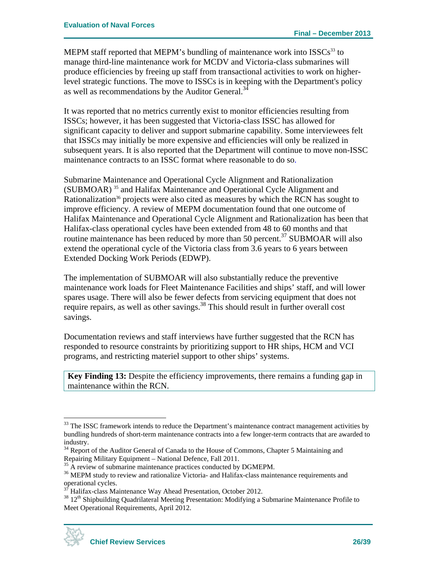MEPM staff reported that MEPM's bundling of maintenance work into  $ISSCs^{33}$  to manage third-line maintenance work for MCDV and Victoria-class submarines will produce efficiencies by freeing up staff from transactional activities to work on higherlevel strategic functions. The move to ISSCs is in keeping with the Department's policy as well as recommendations by the Auditor General.<sup>34</sup>

It was reported that no metrics currently exist to monitor efficiencies resulting from ISSCs; however, it has been suggested that Victoria-class ISSC has allowed for significant capacity to deliver and support submarine capability. Some interviewees felt that ISSCs may initially be more expensive and efficiencies will only be realized in subsequent years. It is also reported that the Department will continue to move non-ISSC maintenance contracts to an ISSC format where reasonable to do so.

Submarine Maintenance and Operational Cycle Alignment and Rationalization (SUBMOAR) 35 and Halifax Maintenance and Operational Cycle Alignment and Rationalization<sup>36</sup> projects were also cited as measures by which the RCN has sought to improve efficiency. A review of MEPM documentation found that one outcome of Halifax Maintenance and Operational Cycle Alignment and Rationalization has been that Halifax-class operational cycles have been extended from 48 to 60 months and that routine maintenance has been reduced by more than 50 percent.<sup>37</sup> SUBMOAR will also extend the operational cycle of the Victoria class from 3.6 years to 6 years between Extended Docking Work Periods (EDWP).

The implementation of SUBMOAR will also substantially reduce the preventive maintenance work loads for Fleet Maintenance Facilities and ships' staff, and will lower spares usage. There will also be fewer defects from servicing equipment that does not require repairs, as well as other savings.<sup>38</sup> This should result in further overall cost savings.

Documentation reviews and staff interviews have further suggested that the RCN has responded to resource constraints by prioritizing support to HR ships, HCM and VCI programs, and restricting materiel support to other ships' systems.

**Key Finding 13:** Despite the efficiency improvements, there remains a funding gap in maintenance within the RCN.

<sup>&</sup>lt;sup>38</sup> 12<sup>th</sup> Shipbuilding Quadrilateral Meeting Presentation: Modifying a Submarine Maintenance Profile to Meet Operational Requirements, April 2012.



<sup>&</sup>lt;sup>33</sup> The ISSC framework intends to reduce the Department's maintenance contract management activities by bundling hundreds of short-term maintenance contracts into a few longer-term contracts that are awarded to industry.

<sup>&</sup>lt;sup>34</sup> Report of the Auditor General of Canada to the House of Commons, Chapter 5 Maintaining and Repairing Military Equipment – National Defence, Fall 2011.

<sup>&</sup>lt;sup>35</sup> A review of submarine maintenance practices conducted by DGMEPM.

<sup>&</sup>lt;sup>36</sup> MEPM study to review and rationalize Victoria- and Halifax-class maintenance requirements and operational cycles.

<sup>37</sup> Halifax-class Maintenance Way Ahead Presentation, October 2012.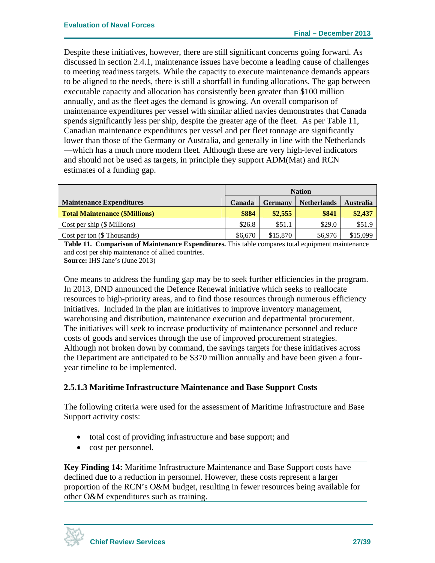Despite these initiatives, however, there are still significant concerns going forward. As discussed in section 2.4.1, maintenance issues have become a leading cause of challenges to meeting readiness targets. While the capacity to execute maintenance demands appears to be aligned to the needs, there is still a shortfall in funding allocations. The gap between executable capacity and allocation has consistently been greater than \$100 million annually, and as the fleet ages the demand is growing. An overall comparison of maintenance expenditures per vessel with similar allied navies demonstrates that Canada spends significantly less per ship, despite the greater age of the fleet. As per Table 11, Canadian maintenance expenditures per vessel and per fleet tonnage are significantly lower than those of the Germany or Australia, and generally in line with the Netherlands —which has a much more modern fleet. Although these are very high-level indicators and should not be used as targets, in principle they support ADM(Mat) and RCN estimates of a funding gap.

|                                       | <b>Nation</b>                                                      |          |         |          |  |
|---------------------------------------|--------------------------------------------------------------------|----------|---------|----------|--|
| <b>Maintenance Expenditures</b>       | <b>Netherlands</b><br><b>Australia</b><br>Canada<br><b>Germany</b> |          |         |          |  |
| <b>Total Maintenance (\$Millions)</b> | \$884                                                              | \$2,555  | \$841   | \$2,437  |  |
| Cost per ship $(\$$ Millions)         | \$26.8                                                             | \$51.1   | \$29.0  | \$51.9   |  |
| Cost per ton (\$ Thousands)           | \$6,670                                                            | \$15,870 | \$6,976 | \$15,099 |  |

**Table 11. Comparison of Maintenance Expenditures.** This table compares total equipment maintenance and cost per ship maintenance of allied countries.

**Source:** IHS Jane's (June 2013)

One means to address the funding gap may be to seek further efficiencies in the program. In 2013, DND announced the Defence Renewal initiative which seeks to reallocate resources to high-priority areas, and to find those resources through numerous efficiency initiatives. Included in the plan are initiatives to improve inventory management, warehousing and distribution, maintenance execution and departmental procurement. The initiatives will seek to increase productivity of maintenance personnel and reduce costs of goods and services through the use of improved procurement strategies. Although not broken down by command, the savings targets for these initiatives across the Department are anticipated to be \$370 million annually and have been given a fouryear timeline to be implemented.

### **2.5.1.3 Maritime Infrastructure Maintenance and Base Support Costs**

The following criteria were used for the assessment of Maritime Infrastructure and Base Support activity costs:

- total cost of providing infrastructure and base support; and
- cost per personnel.

**Key Finding 14:** Maritime Infrastructure Maintenance and Base Support costs have declined due to a reduction in personnel. However, these costs represent a larger proportion of the RCN's O&M budget, resulting in fewer resources being available for other O&M expenditures such as training.

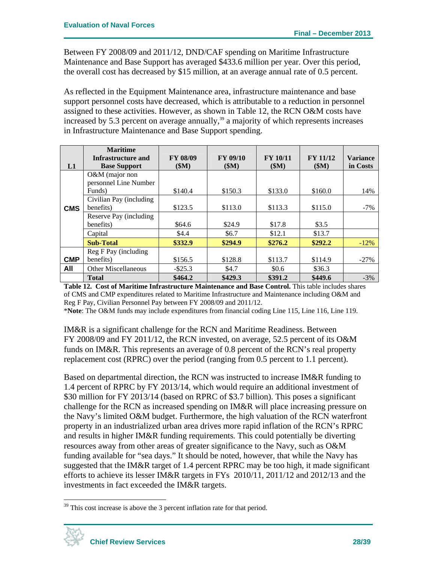Between FY 2008/09 and 2011/12, DND/CAF spending on Maritime Infrastructure Maintenance and Base Support has averaged \$433.6 million per year. Over this period, the overall cost has decreased by \$15 million, at an average annual rate of 0.5 percent.

As reflected in the Equipment Maintenance area, infrastructure maintenance and base support personnel costs have decreased, which is attributable to a reduction in personnel assigned to these activities. However, as shown in Table 12, the RCN O&M costs have increased by 5.3 percent on average annually, $39$  a majority of which represents increases in Infrastructure Maintenance and Base Support spending.

|            | <b>Maritime</b>                           |                         |                         |                         |                         |                             |
|------------|-------------------------------------------|-------------------------|-------------------------|-------------------------|-------------------------|-----------------------------|
| L1         | Infrastructure and<br><b>Base Support</b> | <b>FY 08/09</b><br>\$M) | <b>FY 09/10</b><br>\$M) | <b>FY 10/11</b><br>\$M) | <b>FY 11/12</b><br>(SM) | <b>Variance</b><br>in Costs |
|            | O&M (major non<br>personnel Line Number   |                         |                         |                         |                         |                             |
|            | Funds)                                    | \$140.4                 | \$150.3                 | \$133.0                 | \$160.0                 | 14%                         |
|            | Civilian Pay (including                   |                         |                         |                         |                         |                             |
| <b>CMS</b> | benefits)                                 | \$123.5                 | \$113.0                 | \$113.3                 | \$115.0                 | $-7%$                       |
|            | Reserve Pay (including                    |                         |                         |                         |                         |                             |
|            | benefits)                                 | \$64.6                  | \$24.9                  | \$17.8                  | \$3.5                   |                             |
|            | Capital                                   | \$4.4                   | \$6.7                   | \$12.1                  | \$13.7                  |                             |
|            | <b>Sub-Total</b>                          | \$332.9                 | \$294.9                 | \$276.2                 | \$292.2                 | $-12%$                      |
|            | Reg F Pay (including                      |                         |                         |                         |                         |                             |
| <b>CMP</b> | benefits)                                 | \$156.5                 | \$128.8                 | \$113.7                 | \$114.9                 | $-27%$                      |
| All        | <b>Other Miscellaneous</b>                | $-$ \$25.3              | \$4.7                   | \$0.6\$                 | \$36.3                  |                             |
|            | <b>Total</b>                              | \$464.2                 | \$429.3                 | \$391.2                 | \$449.6                 | $-3%$                       |

**Table 12. Cost of Maritime Infrastructure Maintenance and Base Control.** This table includes shares of CMS and CMP expenditures related to Maritime Infrastructure and Maintenance including O&M and Reg F Pay, Civilian Personnel Pay between FY 2008/09 and 2011/12.

\***Note**: The O&M funds may include expenditures from financial coding Line 115, Line 116, Line 119.

IM&R is a significant challenge for the RCN and Maritime Readiness. Between FY 2008/09 and FY 2011/12, the RCN invested, on average, 52.5 percent of its O&M funds on IM&R. This represents an average of 0.8 percent of the RCN's real property replacement cost (RPRC) over the period (ranging from 0.5 percent to 1.1 percent).

Based on departmental direction, the RCN was instructed to increase IM&R funding to 1.4 percent of RPRC by FY 2013/14, which would require an additional investment of \$30 million for FY 2013/14 (based on RPRC of \$3.7 billion). This poses a significant challenge for the RCN as increased spending on IM&R will place increasing pressure on the Navy's limited O&M budget. Furthermore, the high valuation of the RCN waterfront property in an industrialized urban area drives more rapid inflation of the RCN's RPRC and results in higher IM&R funding requirements*.* This could potentially be diverting resources away from other areas of greater significance to the Navy, such as O&M funding available for "sea days." It should be noted, however, that while the Navy has suggested that the IM&R target of 1.4 percent RPRC may be too high, it made significant efforts to achieve its lesser IM&R targets in FYs 2010/11, 2011/12 and 2012/13 and the investments in fact exceeded the IM&R targets.

<sup>&</sup>lt;sup>39</sup> This cost increase is above the 3 percent inflation rate for that period.



<u>.</u>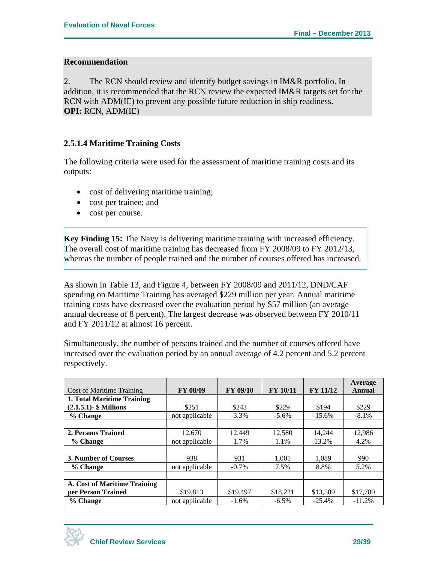#### **Recommendation**

2. The RCN should review and identify budget savings in IM&R portfolio. In addition, it is recommended that the RCN review the expected IM&R targets set for the RCN with ADM(IE) to prevent any possible future reduction in ship readiness. **OPI:** RCN, ADM(IE)

### **2.5.1.4 Maritime Training Costs**

The following criteria were used for the assessment of maritime training costs and its outputs:

- cost of delivering maritime training;
- cost per trainee; and
- cost per course.

**Key Finding 15:** The Navy is delivering maritime training with increased efficiency. The overall cost of maritime training has decreased from FY 2008/09 to FY 2012/13, whereas the number of people trained and the number of courses offered has increased.

As shown in Table 13, and Figure 4, between FY 2008/09 and 2011/12, DND/CAF spending on Maritime Training has averaged \$229 million per year. Annual maritime training costs have decreased over the evaluation period by \$57 million (an average annual decrease of 8 percent). The largest decrease was observed between FY 2010/11 and FY 2011/12 at almost 16 percent.

Simultaneously, the number of persons trained and the number of courses offered have increased over the evaluation period by an annual average of 4.2 percent and 5.2 percent respectively.

|                                     |                 |                 |                 |                 | Average  |
|-------------------------------------|-----------------|-----------------|-----------------|-----------------|----------|
| <b>Cost of Maritime Training</b>    | <b>FY 08/09</b> | <b>FY 09/10</b> | <b>FY 10/11</b> | <b>FY 11/12</b> | Annual   |
| 1. Total Maritime Training          |                 |                 |                 |                 |          |
| $(2.1.5.1)$ - \$ Millions           | \$251           | \$243           | \$229           | \$194           | \$229    |
| % Change                            | not applicable  | $-3.3\%$        | $-5.6\%$        | $-15.6%$        | $-8.1%$  |
|                                     |                 |                 |                 |                 |          |
| 2. Persons Trained                  | 12,670          | 12,449          | 12,580          | 14,244          | 12,986   |
| % Change                            | not applicable  | $-1.7\%$        | 1.1%            | 13.2%           | 4.2%     |
|                                     |                 |                 |                 |                 |          |
| 3. Number of Courses                | 938             | 931             | 1,001           | 1.089           | 990      |
| % Change                            | not applicable  | $-0.7\%$        | 7.5%            | 8.8%            | 5.2%     |
|                                     |                 |                 |                 |                 |          |
| <b>A. Cost of Maritime Training</b> |                 |                 |                 |                 |          |
| per Person Trained<br>\$19,813      |                 | \$19,497        | \$18,221        | \$13,589        | \$17,780 |
| % Change                            | not applicable  | $-1.6%$         | $-6.5\%$        | $-25.4%$        | $-11.2%$ |

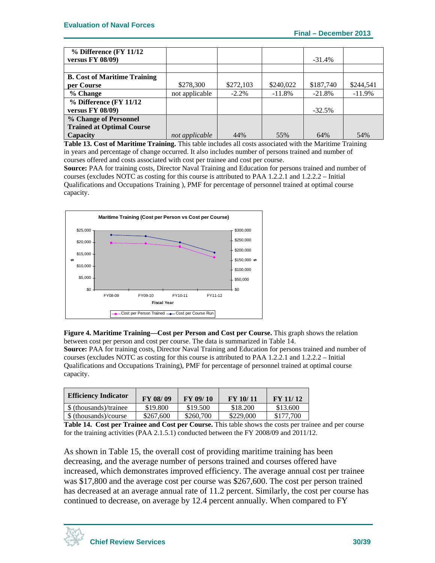| $%$ Difference (FY 11/12)           |                |           |           |           |           |
|-------------------------------------|----------------|-----------|-----------|-----------|-----------|
| <b>versus FY 08/09)</b>             |                |           |           | $-31.4%$  |           |
|                                     |                |           |           |           |           |
| <b>B.</b> Cost of Maritime Training |                |           |           |           |           |
| per Course                          | \$278,300      | \$272,103 | \$240,022 | \$187,740 | \$244.541 |
| % Change                            | not applicable | $-2.2\%$  | $-11.8%$  | $-21.8%$  | $-11.9%$  |
| % Difference (FY 11/12              |                |           |           |           |           |
| versus $FY$ 08/09)                  |                |           |           | $-32.5%$  |           |
| % Change of Personnel               |                |           |           |           |           |
| <b>Trained at Optimal Course</b>    |                |           |           |           |           |
| Capacity                            | not applicable | 44%       | 55%       | 64%       | 54%       |

**Table 13. Cost of Maritime Training.** This table includes all costs associated with the Maritime Training in years and percentage of change occurred. It also includes number of persons trained and number of courses offered and costs associated with cost per trainee and cost per course.

**Source:** PAA for training costs, Director Naval Training and Education for persons trained and number of courses (excludes NOTC as costing for this course is attributed to PAA 1.2.2.1 and 1.2.2.2 – Initial Qualifications and Occupations Training ), PMF for percentage of personnel trained at optimal course capacity.



**Figure 4. Maritime Training—Cost per Person and Cost per Course.** This graph shows the relation between cost per person and cost per course. The data is summarized in Table 14. **Source:** PAA for training costs, Director Naval Training and Education for persons trained and number of courses (excludes NOTC as costing for this course is attributed to PAA 1.2.2.1 and 1.2.2.2 – Initial Qualifications and Occupations Training), PMF for percentage of personnel trained at optimal course capacity.

| <b>Efficiency Indicator</b> | FY 08/09  | FY 09/10  | FY 10/11  | FY 11/12  |
|-----------------------------|-----------|-----------|-----------|-----------|
| \$ (thousands)/trainee      | \$19.800  | \$19.500  | \$18.200  | \$13.600  |
| \$ (thousands)/course       | \$267,600 | \$260,700 | \$229,000 | \$177,700 |

**Table 14. Cost per Trainee and Cost per Course.** This table shows the costs per trainee and per course for the training activities (PAA 2.1.5.1) conducted between the FY 2008/09 and 2011/12.

As shown in Table 15, the overall cost of providing maritime training has been decreasing, and the average number of persons trained and courses offered have increased, which demonstrates improved efficiency. The average annual cost per trainee was \$17,800 and the average cost per course was \$267,600. The cost per person trained has decreased at an average annual rate of 11.2 percent. Similarly, the cost per course has continued to decrease, on average by 12.4 percent annually. When compared to FY

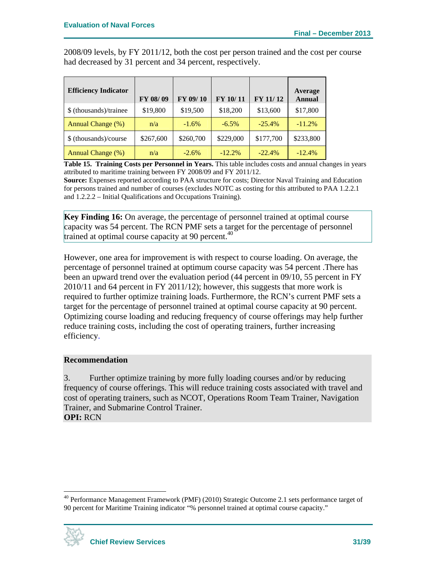2008/09 levels, by FY 2011/12, both the cost per person trained and the cost per course had decreased by 31 percent and 34 percent, respectively.

| <b>Efficiency Indicator</b> | FY 08/09  | FY 09/10  | FY 10/11  | FY 11/12  | Average<br><b>Annual</b> |
|-----------------------------|-----------|-----------|-----------|-----------|--------------------------|
| \$ (thousands)/trainee      | \$19,800  | \$19,500  | \$18,200  | \$13,600  | \$17,800                 |
| <b>Annual Change (%)</b>    | n/a       | $-1.6\%$  | $-6.5\%$  | $-25.4%$  | $-11.2%$                 |
| \$ (thousands)/course       | \$267,600 | \$260,700 | \$229,000 | \$177,700 | \$233,800                |
| Annual Change (%)           | n/a       | $-2.6\%$  | $-12.2%$  | $-22.4%$  | $-12.4%$                 |

**Table 15. Training Costs per Personnel in Years.** This table includes costs and annual changes in years attributed to maritime training between FY 2008/09 and FY 2011/12.

**Source:** Expenses reported according to PAA structure for costs; Director Naval Training and Education for persons trained and number of courses (excludes NOTC as costing for this attributed to PAA 1.2.2.1 and 1.2.2.2 – Initial Qualifications and Occupations Training).

**Key Finding 16:** On average, the percentage of personnel trained at optimal course capacity was 54 percent. The RCN PMF sets a target for the percentage of personnel trained at optimal course capacity at 90 percent. $40$ 

However, one area for improvement is with respect to course loading. On average, the percentage of personnel trained at optimum course capacity was 54 percent .There has been an upward trend over the evaluation period (44 percent in 09/10, 55 percent in FY 2010/11 and 64 percent in FY 2011/12); however, this suggests that more work is required to further optimize training loads. Furthermore, the RCN's current PMF sets a target for the percentage of personnel trained at optimal course capacity at 90 percent. Optimizing course loading and reducing frequency of course offerings may help further reduce training costs, including the cost of operating trainers, further increasing efficiency.

#### **Recommendation**

3. Further optimize training by more fully loading courses and/or by reducing frequency of course offerings. This will reduce training costs associated with travel and cost of operating trainers, such as NCOT, Operations Room Team Trainer, Navigation Trainer, and Submarine Control Trainer. **OPI:** RCN

<sup>&</sup>lt;sup>40</sup> Performance Management Framework (PMF) (2010) Strategic Outcome 2.1 sets performance target of 90 percent for Maritime Training indicator "% personnel trained at optimal course capacity."



1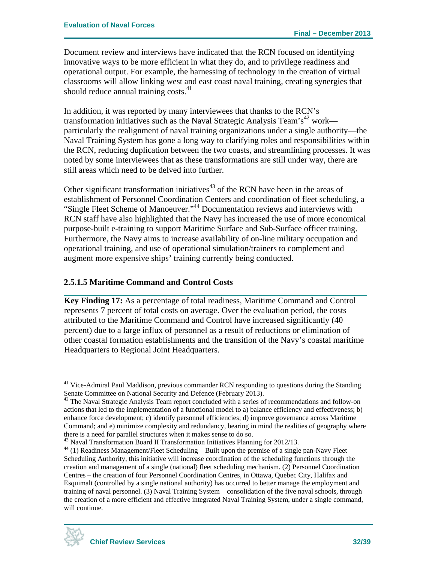Document review and interviews have indicated that the RCN focused on identifying innovative ways to be more efficient in what they do, and to privilege readiness and operational output. For example, the harnessing of technology in the creation of virtual classrooms will allow linking west and east coast naval training, creating synergies that should reduce annual training costs.<sup>41</sup>

In addition, it was reported by many interviewees that thanks to the RCN's transformation initiatives such as the Naval Strategic Analysis Team's<sup>42</sup> work particularly the realignment of naval training organizations under a single authority—the Naval Training System has gone a long way to clarifying roles and responsibilities within the RCN, reducing duplication between the two coasts, and streamlining processes. It was noted by some interviewees that as these transformations are still under way, there are still areas which need to be delved into further.

Other significant transformation initiatives $43$  of the RCN have been in the areas of establishment of Personnel Coordination Centers and coordination of fleet scheduling, a "Single Fleet Scheme of Manoeuver."44 Documentation reviews and interviews with RCN staff have also highlighted that the Navy has increased the use of more economical purpose-built e-training to support Maritime Surface and Sub-Surface officer training. Furthermore, the Navy aims to increase availability of on-line military occupation and operational training, and use of operational simulation/trainers to complement and augment more expensive ships' training currently being conducted.

### **2.5.1.5 Maritime Command and Control Costs**

**Key Finding 17:** As a percentage of total readiness, Maritime Command and Control represents 7 percent of total costs on average. Over the evaluation period, the costs attributed to the Maritime Command and Control have increased significantly (40 percent) due to a large influx of personnel as a result of reductions or elimination of other coastal formation establishments and the transition of the Navy's coastal maritime Headquarters to Regional Joint Headquarters.

 $44$  (1) Readiness Management/Fleet Scheduling – Built upon the premise of a single pan-Navy Fleet Scheduling Authority, this initiative will increase coordination of the scheduling functions through the creation and management of a single (national) fleet scheduling mechanism. (2) Personnel Coordination Centres – the creation of four Personnel Coordination Centres, in Ottawa, Quebec City, Halifax and Esquimalt (controlled by a single national authority) has occurred to better manage the employment and training of naval personnel. (3) Naval Training System – consolidation of the five naval schools, through the creation of a more efficient and effective integrated Naval Training System, under a single command, will continue.



 $41$  Vice-Admiral Paul Maddison, previous commander RCN responding to questions during the Standing Senate Committee on National Security and Defence (February 2013).

 $42$  The Naval Strategic Analysis Team report concluded with a series of recommendations and follow-on actions that led to the implementation of a functional model to a) balance efficiency and effectiveness; b) enhance force development; c) identify personnel efficiencies; d) improve governance across Maritime Command; and e) minimize complexity and redundancy, bearing in mind the realities of geography where there is a need for parallel structures when it makes sense to do so.<br> $43$  Naval Transformation Board II Transformation Initiatives Planning for 2012/13.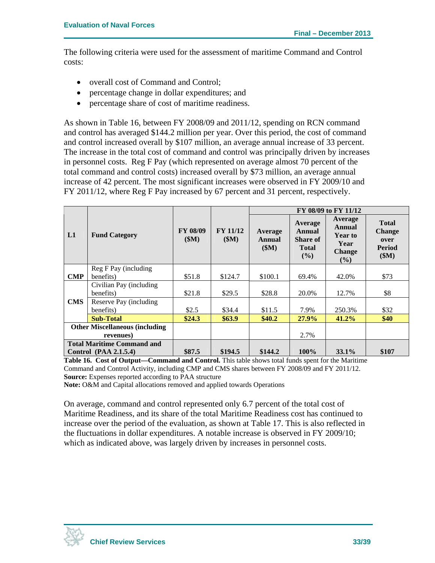The following criteria were used for the assessment of maritime Command and Control costs:

- overall cost of Command and Control;
- percentage change in dollar expenditures; and
- percentage share of cost of maritime readiness.

As shown in Table 16, between FY 2008/09 and 2011/12, spending on RCN command and control has averaged \$144.2 million per year. Over this period, the cost of command and control increased overall by \$107 million, an average annual increase of 33 percent. The increase in the total cost of command and control was principally driven by increases in personnel costs. Reg F Pay (which represented on average almost 70 percent of the total command and control costs) increased overall by \$73 million, an average annual increase of 42 percent. The most significant increases were observed in FY 2009/10 and FY 2011/12, where Reg F Pay increased by 67 percent and 31 percent, respectively.

|            |                                       |                          |                          |                           |                                                                | FY 08/09 to FY 11/12                                                          |                                                                |
|------------|---------------------------------------|--------------------------|--------------------------|---------------------------|----------------------------------------------------------------|-------------------------------------------------------------------------------|----------------------------------------------------------------|
| L1         | <b>Fund Category</b>                  | <b>FY 08/09</b><br>\$M\$ | <b>FY 11/12</b><br>\$M\$ | Average<br>Annual<br>(SM) | Average<br>Annual<br><b>Share of</b><br><b>Total</b><br>$($ %) | Average<br><b>Annual</b><br><b>Year to</b><br>Year<br><b>Change</b><br>$($ %) | <b>Total</b><br><b>Change</b><br>over<br><b>Period</b><br>\$M) |
|            | Reg F Pay (including                  |                          |                          |                           |                                                                |                                                                               |                                                                |
| <b>CMP</b> | benefits)                             | \$51.8                   | \$124.7                  | \$100.1                   | 69.4%                                                          | 42.0%                                                                         | \$73                                                           |
|            | Civilian Pay (including               |                          |                          |                           |                                                                |                                                                               |                                                                |
|            | benefits)                             | \$21.8                   | \$29.5                   | \$28.8                    | 20.0%                                                          | 12.7%                                                                         | \$8                                                            |
| <b>CMS</b> | Reserve Pay (including                |                          |                          |                           |                                                                |                                                                               |                                                                |
|            | benefits)                             | \$2.5                    | \$34.4                   | \$11.5                    | 7.9%                                                           | 250.3%                                                                        | \$32                                                           |
|            | <b>Sub-Total</b>                      | \$24.3                   | \$63.9                   | \$40.2\$                  | 27.9%                                                          | 41.2%                                                                         | \$40                                                           |
|            | <b>Other Miscellaneous (including</b> |                          |                          |                           |                                                                |                                                                               |                                                                |
|            | revenues)                             |                          |                          |                           | 2.7%                                                           |                                                                               |                                                                |
|            | <b>Total Maritime Command and</b>     |                          |                          |                           |                                                                |                                                                               |                                                                |
|            | <b>Control</b> (PAA 2.1.5.4)          | \$87.5                   | \$194.5                  | \$144.2                   | 100%                                                           | $33.1\%$                                                                      | \$107                                                          |

**Table 16. Cost of Output—Command and Control.** This table shows total funds spent for the Maritime Command and Control Activity, including CMP and CMS shares between FY 2008/09 and FY 2011/12. **Source:** Expenses reported according to PAA structure

**Note:** O&M and Capital allocations removed and applied towards Operations

On average, command and control represented only 6.7 percent of the total cost of Maritime Readiness, and its share of the total Maritime Readiness cost has continued to increase over the period of the evaluation, as shown at Table 17. This is also reflected in the fluctuations in dollar expenditures. A notable increase is observed in FY 2009/10; which as indicated above, was largely driven by increases in personnel costs.

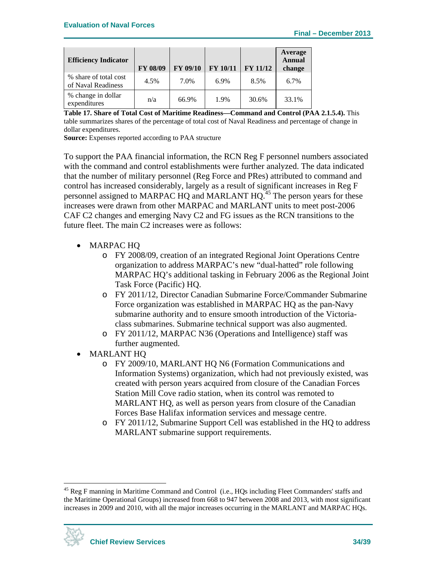| <b>Efficiency Indicator</b>                 | FY 08/09 | <b>FY 09/10</b> | <b>FY 10/11</b> | <b>FY 11/12</b> | Average<br><b>Annual</b><br>change |
|---------------------------------------------|----------|-----------------|-----------------|-----------------|------------------------------------|
| % share of total cost<br>of Naval Readiness | 4.5%     | 7.0%            | 6.9%            | 8.5%            | 6.7%                               |
| % change in dollar<br>expenditures          | n/a      | 66.9%           | 1.9%            | 30.6%           | 33.1%                              |

**Table 17. Share of Total Cost of Maritime Readiness—Command and Control (PAA 2.1.5.4).** This table summarizes shares of the percentage of total cost of Naval Readiness and percentage of change in dollar expenditures.

**Source:** Expenses reported according to PAA structure

To support the PAA financial information, the RCN Reg F personnel numbers associated with the command and control establishments were further analyzed. The data indicated that the number of military personnel (Reg Force and PRes) attributed to command and control has increased considerably, largely as a result of significant increases in Reg F personnel assigned to MARPAC HQ and MARLANT HQ.<sup>45</sup> The person years for these increases were drawn from other MARPAC and MARLANT units to meet post-2006 CAF C2 changes and emerging Navy C2 and FG issues as the RCN transitions to the future fleet. The main C2 increases were as follows:

- MARPAC HQ
	- o FY 2008/09, creation of an integrated Regional Joint Operations Centre organization to address MARPAC's new "dual-hatted" role following MARPAC HQ's additional tasking in February 2006 as the Regional Joint Task Force (Pacific) HQ.
	- o FY 2011/12, Director Canadian Submarine Force/Commander Submarine Force organization was established in MARPAC HQ as the pan-Navy submarine authority and to ensure smooth introduction of the Victoriaclass submarines. Submarine technical support was also augmented.
	- o FY 2011/12, MARPAC N36 (Operations and Intelligence) staff was further augmented.
- MARLANT HQ
	- o FY 2009/10, MARLANT HQ N6 (Formation Communications and Information Systems) organization, which had not previously existed, was created with person years acquired from closure of the Canadian Forces Station Mill Cove radio station, when its control was remoted to MARLANT HQ, as well as person years from closure of the Canadian Forces Base Halifax information services and message centre.
	- o FY 2011/12, Submarine Support Cell was established in the HQ to address MARLANT submarine support requirements.

<sup>&</sup>lt;sup>45</sup> Reg F manning in Maritime Command and Control (i.e., HQs including Fleet Commanders' staffs and the Maritime Operational Groups) increased from 668 to 947 between 2008 and 2013, with most significant increases in 2009 and 2010, with all the major increases occurring in the MARLANT and MARPAC HQs.

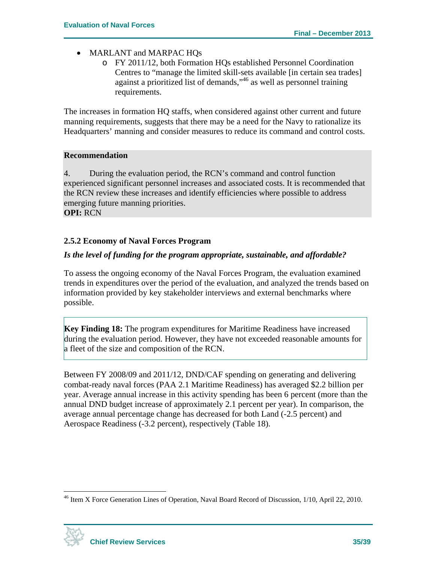- MARLANT and MARPAC HOs
	- o FY 2011/12, both Formation HQs established Personnel Coordination Centres to "manage the limited skill-sets available [in certain sea trades] against a prioritized list of demands,"46 as well as personnel training requirements.

The increases in formation HQ staffs, when considered against other current and future manning requirements, suggests that there may be a need for the Navy to rationalize its Headquarters' manning and consider measures to reduce its command and control costs.

#### **Recommendation**

4. During the evaluation period, the RCN's command and control function experienced significant personnel increases and associated costs. It is recommended that the RCN review these increases and identify efficiencies where possible to address emerging future manning priorities. **OPI:** RCN

#### **2.5.2 Economy of Naval Forces Program**

#### *Is the level of funding for the program appropriate, sustainable, and affordable?*

To assess the ongoing economy of the Naval Forces Program, the evaluation examined trends in expenditures over the period of the evaluation, and analyzed the trends based on information provided by key stakeholder interviews and external benchmarks where possible.

**Key Finding 18:** The program expenditures for Maritime Readiness have increased during the evaluation period. However, they have not exceeded reasonable amounts for a fleet of the size and composition of the RCN.

Between FY 2008/09 and 2011/12, DND/CAF spending on generating and delivering combat-ready naval forces (PAA 2.1 Maritime Readiness) has averaged \$2.2 billion per year. Average annual increase in this activity spending has been 6 percent (more than the annual DND budget increase of approximately 2.1 percent per year). In comparison, the average annual percentage change has decreased for both Land (-2.5 percent) and Aerospace Readiness (-3.2 percent), respectively (Table 18).

<sup>&</sup>lt;sup>46</sup> Item X Force Generation Lines of Operation, Naval Board Record of Discussion, 1/10, April 22, 2010.



1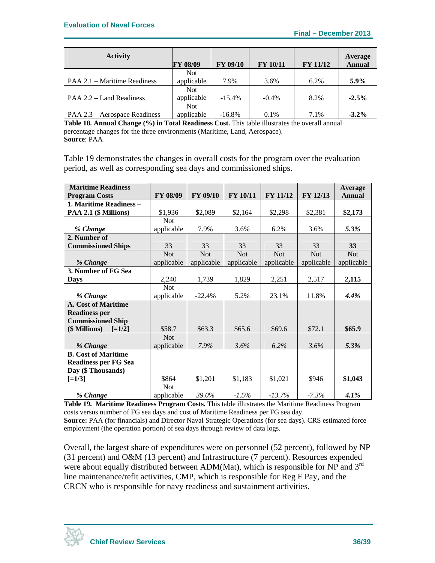| <b>Activity</b>               | <b>FY 08/09</b> | <b>FY 09/10</b> | <b>FY 10/11</b> | <b>FY 11/12</b> | <b>Average</b><br><b>Annual</b> |
|-------------------------------|-----------------|-----------------|-----------------|-----------------|---------------------------------|
|                               | <b>Not</b>      |                 |                 |                 |                                 |
| PAA 2.1 – Maritime Readiness  | applicable      | 7.9%            | 3.6%            | 6.2%            | 5.9%                            |
|                               | <b>Not</b>      |                 |                 |                 |                                 |
| PAA 2.2 – Land Readiness      | applicable      | $-15.4%$        | $-0.4\%$        | 8.2%            | $-2.5\%$                        |
|                               | <b>Not</b>      |                 |                 |                 |                                 |
| PAA 2.3 – Aerospace Readiness | applicable      | $-16.8\%$       | 0.1%            | 7.1%            | $-3.2\%$                        |

**Table 18. Annual Change (%) in Total Readiness Cost.** This table illustrates the overall annual percentage changes for the three environments (Maritime, Land, Aerospace). **Source**: PAA

Table 19 demonstrates the changes in overall costs for the program over the evaluation period, as well as corresponding sea days and commissioned ships.

| <b>Maritime Readiness</b>   |            |            |            |                 |            | Average    |
|-----------------------------|------------|------------|------------|-----------------|------------|------------|
| <b>Program Costs</b>        | FY 08/09   | FY 09/10   | FY 10/11   | <b>FY 11/12</b> | FY 12/13   | Annual     |
| 1. Maritime Readiness -     |            |            |            |                 |            |            |
| PAA 2.1 (\$ Millions)       | \$1,936    | \$2,089    | \$2,164    | \$2,298         | \$2,381    | \$2,173    |
|                             | <b>Not</b> |            |            |                 |            |            |
| % Change                    | applicable | 7.9%       | 3.6%       | 6.2%            | 3.6%       | 5.3%       |
| 2. Number of                |            |            |            |                 |            |            |
| <b>Commissioned Ships</b>   | 33         | 33         | 33         | 33              | 33         | 33         |
|                             | <b>Not</b> | <b>Not</b> | <b>Not</b> | <b>Not</b>      | <b>Not</b> | <b>Not</b> |
| % Change                    | applicable | applicable | applicable | applicable      | applicable | applicable |
| 3. Number of FG Sea         |            |            |            |                 |            |            |
| <b>Days</b>                 | 2,240      | 1,739      | 1,829      | 2,251           | 2,517      | 2,115      |
|                             | <b>Not</b> |            |            |                 |            |            |
| % Change                    | applicable | $-22.4%$   | 5.2%       | 23.1%           | 11.8%      | 4.4%       |
| <b>A. Cost of Maritime</b>  |            |            |            |                 |            |            |
| <b>Readiness per</b>        |            |            |            |                 |            |            |
| <b>Commissioned Ship</b>    |            |            |            |                 |            |            |
| (\$ Millions)<br>$[=1/2]$   | \$58.7     | \$63.3     | \$65.6     | \$69.6          | \$72.1     | \$65.9     |
|                             | <b>Not</b> |            |            |                 |            |            |
| % Change                    | applicable | 7.9%       | 3.6%       | $6.2\%$         | $3.6\%$    | 5.3%       |
| <b>B.</b> Cost of Maritime  |            |            |            |                 |            |            |
| <b>Readiness per FG Sea</b> |            |            |            |                 |            |            |
| Day (\$ Thousands)          |            |            |            |                 |            |            |
| $[-1/3]$                    | \$864      | \$1,201    | \$1,183    | \$1,021         | \$946      | \$1,043    |
|                             | <b>Not</b> |            |            |                 |            |            |
| % Change                    | applicable | 39.0%      | $-1.5\%$   | $-13.7%$        | $-7.3\%$   | $4.1\%$    |

**Table 19. Maritime Readiness Program Costs.** This table illustrates the Maritime Readiness Program costs versus number of FG sea days and cost of Maritime Readiness per FG sea day. **Source:** PAA (for financials) and Director Naval Strategic Operations (for sea days). CRS estimated force employment (the operation portion) of sea days through review of data logs.

Overall, the largest share of expenditures were on personnel (52 percent), followed by NP (31 percent) and O&M (13 percent) and Infrastructure (7 percent). Resources expended were about equally distributed between ADM(Mat), which is responsible for NP and  $3<sup>rd</sup>$ line maintenance/refit activities, CMP, which is responsible for Reg F Pay, and the CRCN who is responsible for navy readiness and sustainment activities.

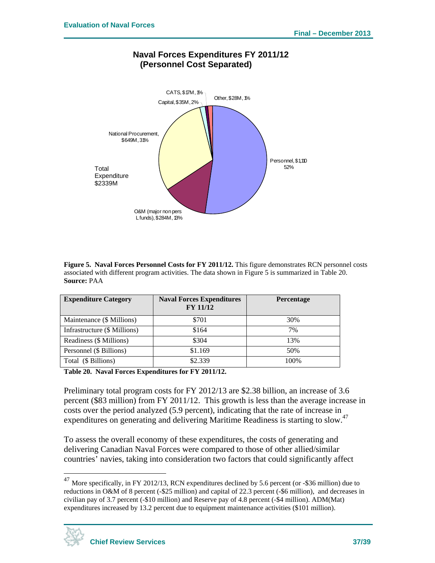

### **Naval Forces Expenditures FY 2011/12 (Personnel Cost Separated)**

**Figure 5. Naval Forces Personnel Costs for FY 2011/12.** This figure demonstrates RCN personnel costs associated with different program activities. The data shown in Figure 5 is summarized in Table 20. **Source:** PAA

| <b>Expenditure Category</b>  | <b>Naval Forces Expenditures</b><br><b>FY 11/12</b> | Percentage |
|------------------------------|-----------------------------------------------------|------------|
| Maintenance (\$ Millions)    | \$701                                               | 30%        |
| Infrastructure (\$ Millions) | \$164                                               | 7%         |
| Readiness (\$ Millions)      | \$304                                               | 13%        |
| Personnel (\$ Billions)      | \$1.169                                             | 50%        |
| Total (\$ Billions)          | \$2.339                                             | 100%       |

**Table 20. Naval Forces Expenditures for FY 2011/12.** 

Preliminary total program costs for FY 2012/13 are \$2.38 billion, an increase of 3.6 percent (\$83 million) from FY 2011/12. This growth is less than the average increase in costs over the period analyzed (5.9 percent), indicating that the rate of increase in expenditures on generating and delivering Maritime Readiness is starting to slow.<sup>47</sup>

To assess the overall economy of these expenditures, the costs of generating and delivering Canadian Naval Forces were compared to those of other allied/similar countries' navies, taking into consideration two factors that could significantly affect

<sup>&</sup>lt;sup>47</sup> More specifically, in FY 2012/13, RCN expenditures declined by 5.6 percent (or -\$36 million) due to reductions in O&M of 8 percent (-\$25 million) and capital of 22.3 percent (-\$6 million), and decreases in civilian pay of 3.7 percent (-\$10 million) and Reserve pay of 4.8 percent (-\$4 million). ADM(Mat) expenditures increased by 13.2 percent due to equipment maintenance activities (\$101 million).



<u>.</u>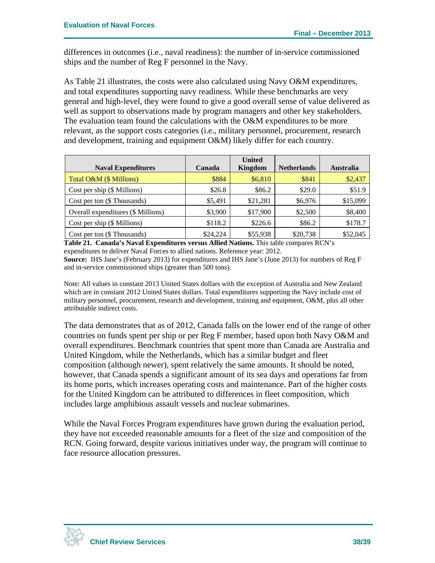differences in outcomes (i.e., naval readiness): the number of in-service commissioned ships and the number of Reg F personnel in the Navy.

As Table 21 illustrates, the costs were also calculated using Navy O&M expenditures, and total expenditures supporting navy readiness. While these benchmarks are very general and high-level, they were found to give a good overall sense of value delivered as well as support to observations made by program managers and other key stakeholders. The evaluation team found the calculations with the O&M expenditures to be more relevant, as the support costs categories (i.e., military personnel, procurement, research and development, training and equipment O&M) likely differ for each country.

|                                    |          | <b>United</b>  |                    |                  |
|------------------------------------|----------|----------------|--------------------|------------------|
| <b>Naval Expenditures</b>          | Canada   | <b>Kingdom</b> | <b>Netherlands</b> | <b>Australia</b> |
| Total O&M (\$ Millions)            | \$884    | \$6,810        | \$841              | \$2,437          |
| Cost per ship $(\$$ Millions)      | \$26.8   | \$86.2         | \$29.0             | \$51.9           |
| Cost per ton (\$ Thousands)        | \$5,491  | \$21,281       | \$6,976            | \$15,099         |
| Overall expenditures (\$ Millions) | \$3,900  | \$17,900       | \$2,500            | \$8,400          |
| Cost per ship (\$ Millions)        | \$118.2  | \$226.6        | \$86.2             | \$178.7          |
| Cost per ton (\$ Thousands)        | \$24,224 | \$55,938       | \$20,738           | \$52,045         |

**Table 21. Canada's Naval Expenditures versus Allied Nations.** This table compares RCN's expenditures to deliver Naval Forces to allied nations. Reference year: 2012. **Source:** IHS Jane's (February 2013) for expenditures and IHS Jane's (June 2013) for numbers of Reg F and in-service commissioned ships (greater than 500 tons).

Note: All values in constant 2013 United States dollars with the exception of Australia and New Zealand which are in constant 2012 United States dollars. Total expenditures supporting the Navy include cost of military personnel, procurement, research and development, training and equipment, O&M, plus all other attributable indirect costs.

The data demonstrates that as of 2012, Canada falls on the lower end of the range of other countries on funds spent per ship or per Reg F member, based upon both Navy O&M and overall expenditures. Benchmark countries that spent more than Canada are Australia and United Kingdom, while the Netherlands, which has a similar budget and fleet composition (although newer), spent relatively the same amounts. It should be noted, however, that Canada spends a significant amount of its sea days and operations far from its home ports, which increases operating costs and maintenance. Part of the higher costs for the United Kingdom can be attributed to differences in fleet composition, which includes large amphibious assault vessels and nuclear submarines.

While the Naval Forces Program expenditures have grown during the evaluation period, they have not exceeded reasonable amounts for a fleet of the size and composition of the RCN. Going forward, despite various initiatives under way, the program will continue to face resource allocation pressures.

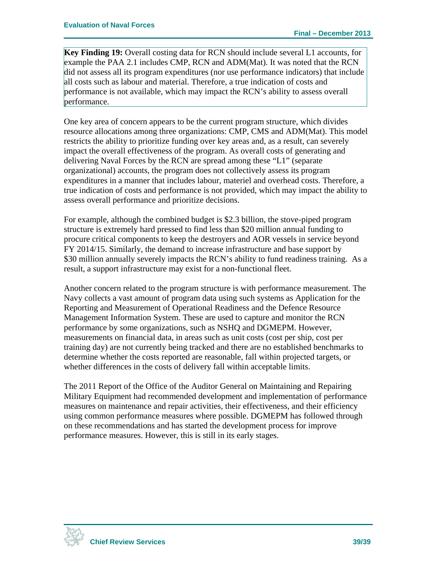**Key Finding 19:** Overall costing data for RCN should include several L1 accounts, for example the PAA 2.1 includes CMP, RCN and ADM(Mat). It was noted that the RCN did not assess all its program expenditures (nor use performance indicators) that include all costs such as labour and material. Therefore, a true indication of costs and performance is not available, which may impact the RCN's ability to assess overall performance.

One key area of concern appears to be the current program structure, which divides resource allocations among three organizations: CMP, CMS and ADM(Mat). This model restricts the ability to prioritize funding over key areas and, as a result, can severely impact the overall effectiveness of the program. As overall costs of generating and delivering Naval Forces by the RCN are spread among these "L1" (separate organizational) accounts, the program does not collectively assess its program expenditures in a manner that includes labour, materiel and overhead costs. Therefore, a true indication of costs and performance is not provided, which may impact the ability to assess overall performance and prioritize decisions.

For example, although the combined budget is \$2.3 billion, the stove-piped program structure is extremely hard pressed to find less than \$20 million annual funding to procure critical components to keep the destroyers and AOR vessels in service beyond FY 2014/15. Similarly, the demand to increase infrastructure and base support by \$30 million annually severely impacts the RCN's ability to fund readiness training. As a result, a support infrastructure may exist for a non-functional fleet.

Another concern related to the program structure is with performance measurement. The Navy collects a vast amount of program data using such systems as Application for the Reporting and Measurement of Operational Readiness and the Defence Resource Management Information System. These are used to capture and monitor the RCN performance by some organizations, such as NSHQ and DGMEPM. However, measurements on financial data, in areas such as unit costs (cost per ship, cost per training day) are not currently being tracked and there are no established benchmarks to determine whether the costs reported are reasonable, fall within projected targets, or whether differences in the costs of delivery fall within acceptable limits.

The 2011 Report of the Office of the Auditor General on Maintaining and Repairing Military Equipment had recommended development and implementation of performance measures on maintenance and repair activities, their effectiveness, and their efficiency using common performance measures where possible. DGMEPM has followed through on these recommendations and has started the development process for improve performance measures. However, this is still in its early stages.

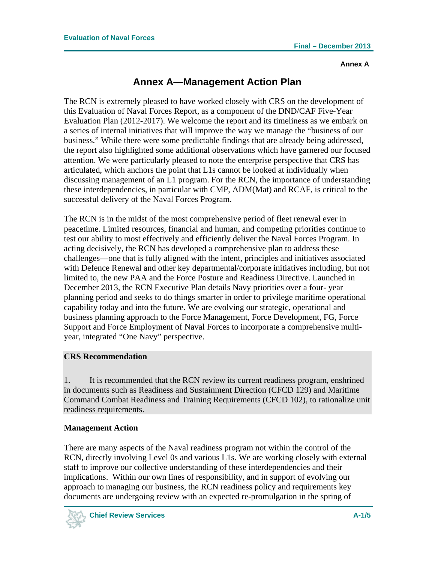## **Annex A—Management Action Plan**

The RCN is extremely pleased to have worked closely with CRS on the development of this Evaluation of Naval Forces Report, as a component of the DND/CAF Five-Year Evaluation Plan (2012-2017). We welcome the report and its timeliness as we embark on a series of internal initiatives that will improve the way we manage the "business of our business." While there were some predictable findings that are already being addressed, the report also highlighted some additional observations which have garnered our focused attention. We were particularly pleased to note the enterprise perspective that CRS has articulated, which anchors the point that L1s cannot be looked at individually when discussing management of an L1 program. For the RCN, the importance of understanding these interdependencies, in particular with CMP, ADM(Mat) and RCAF, is critical to the successful delivery of the Naval Forces Program.

The RCN is in the midst of the most comprehensive period of fleet renewal ever in peacetime. Limited resources, financial and human, and competing priorities continue to test our ability to most effectively and efficiently deliver the Naval Forces Program. In acting decisively, the RCN has developed a comprehensive plan to address these challenges—one that is fully aligned with the intent, principles and initiatives associated with Defence Renewal and other key departmental/corporate initiatives including, but not limited to, the new PAA and the Force Posture and Readiness Directive. Launched in December 2013, the RCN Executive Plan details Navy priorities over a four- year planning period and seeks to do things smarter in order to privilege maritime operational capability today and into the future. We are evolving our strategic, operational and business planning approach to the Force Management, Force Development, FG, Force Support and Force Employment of Naval Forces to incorporate a comprehensive multiyear, integrated "One Navy" perspective.

### **CRS Recommendation**

1. It is recommended that the RCN review its current readiness program, enshrined in documents such as Readiness and Sustainment Direction (CFCD 129) and Maritime Command Combat Readiness and Training Requirements (CFCD 102), to rationalize unit readiness requirements.

### **Management Action**

There are many aspects of the Naval readiness program not within the control of the RCN, directly involving Level 0s and various L1s. We are working closely with external staff to improve our collective understanding of these interdependencies and their implications. Within our own lines of responsibility, and in support of evolving our approach to managing our business, the RCN readiness policy and requirements key documents are undergoing review with an expected re-promulgation in the spring of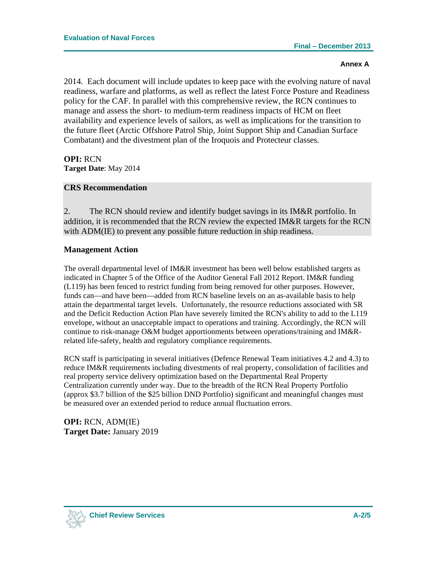2014. Each document will include updates to keep pace with the evolving nature of naval readiness, warfare and platforms, as well as reflect the latest Force Posture and Readiness policy for the CAF. In parallel with this comprehensive review, the RCN continues to manage and assess the short- to medium-term readiness impacts of HCM on fleet availability and experience levels of sailors, as well as implications for the transition to the future fleet (Arctic Offshore Patrol Ship, Joint Support Ship and Canadian Surface Combatant) and the divestment plan of the Iroquois and Protecteur classes.

**OPI:** RCN **Target Date**: May 2014

#### **CRS Recommendation**

2. The RCN should review and identify budget savings in its IM&R portfolio. In addition, it is recommended that the RCN review the expected IM&R targets for the RCN with ADM(IE) to prevent any possible future reduction in ship readiness.

#### **Management Action**

The overall departmental level of IM&R investment has been well below established targets as indicated in Chapter 5 of the Office of the Auditor General Fall 2012 Report. IM&R funding (L119) has been fenced to restrict funding from being removed for other purposes. However, funds can—and have been—added from RCN baseline levels on an as-available basis to help attain the departmental target levels. Unfortunately, the resource reductions associated with SR and the Deficit Reduction Action Plan have severely limited the RCN's ability to add to the L119 envelope, without an unacceptable impact to operations and training. Accordingly, the RCN will continue to risk-manage O&M budget apportionments between operations/training and IM&Rrelated life-safety, health and regulatory compliance requirements.

RCN staff is participating in several initiatives (Defence Renewal Team initiatives 4.2 and 4.3) to reduce IM&R requirements including divestments of real property, consolidation of facilities and real property service delivery optimization based on the Departmental Real Property Centralization currently under way. Due to the breadth of the RCN Real Property Portfolio (approx \$3.7 billion of the \$25 billion DND Portfolio) significant and meaningful changes must be measured over an extended period to reduce annual fluctuation errors.

**OPI:** RCN, ADM(IE) **Target Date:** January 2019

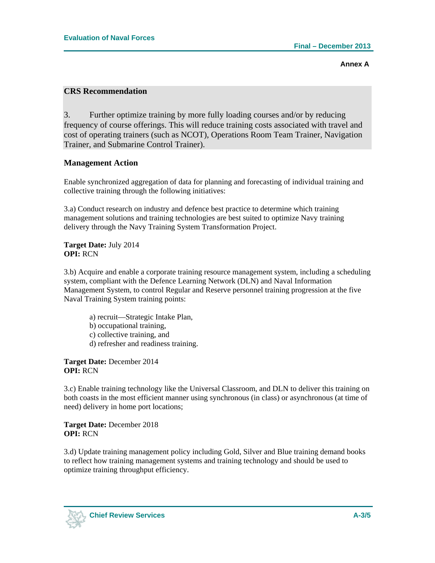#### **CRS Recommendation**

3. Further optimize training by more fully loading courses and/or by reducing frequency of course offerings. This will reduce training costs associated with travel and cost of operating trainers (such as NCOT), Operations Room Team Trainer, Navigation Trainer, and Submarine Control Trainer).

#### **Management Action**

Enable synchronized aggregation of data for planning and forecasting of individual training and collective training through the following initiatives:

3.a) Conduct research on industry and defence best practice to determine which training management solutions and training technologies are best suited to optimize Navy training delivery through the Navy Training System Transformation Project.

**Target Date:** July 2014 **OPI:** RCN

3.b) Acquire and enable a corporate training resource management system, including a scheduling system, compliant with the Defence Learning Network (DLN) and Naval Information Management System, to control Regular and Reserve personnel training progression at the five Naval Training System training points:

- a) recruit—Strategic Intake Plan, b) occupational training, c) collective training, and
- d) refresher and readiness training.

**Target Date:** December 2014 **OPI:** RCN

3.c) Enable training technology like the Universal Classroom, and DLN to deliver this training on both coasts in the most efficient manner using synchronous (in class) or asynchronous (at time of need) delivery in home port locations;

**Target Date:** December 2018 **OPI:** RCN

3.d) Update training management policy including Gold, Silver and Blue training demand books to reflect how training management systems and training technology and should be used to optimize training throughput efficiency.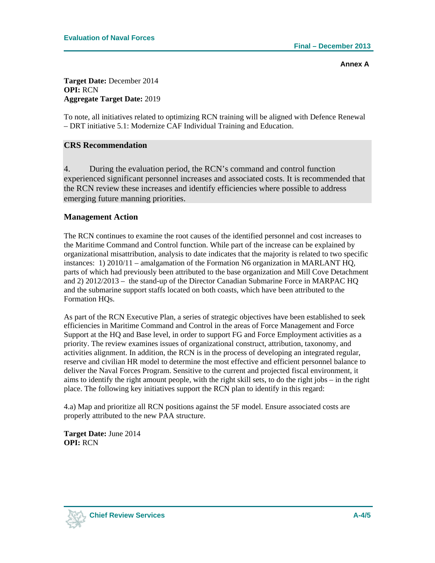**Target Date:** December 2014 **OPI:** RCN **Aggregate Target Date:** 2019

To note, all initiatives related to optimizing RCN training will be aligned with Defence Renewal – DRT initiative 5.1: Modernize CAF Individual Training and Education.

#### **CRS Recommendation**

4. During the evaluation period, the RCN's command and control function experienced significant personnel increases and associated costs. It is recommended that the RCN review these increases and identify efficiencies where possible to address emerging future manning priorities.

#### **Management Action**

The RCN continues to examine the root causes of the identified personnel and cost increases to the Maritime Command and Control function. While part of the increase can be explained by organizational misattribution, analysis to date indicates that the majority is related to two specific instances: 1) 2010/11 – amalgamation of the Formation N6 organization in MARLANT HQ, parts of which had previously been attributed to the base organization and Mill Cove Detachment and 2) 2012/2013 – the stand-up of the Director Canadian Submarine Force in MARPAC HQ and the submarine support staffs located on both coasts, which have been attributed to the Formation HQs.

As part of the RCN Executive Plan, a series of strategic objectives have been established to seek efficiencies in Maritime Command and Control in the areas of Force Management and Force Support at the HQ and Base level, in order to support FG and Force Employment activities as a priority. The review examines issues of organizational construct, attribution, taxonomy, and activities alignment. In addition, the RCN is in the process of developing an integrated regular, reserve and civilian HR model to determine the most effective and efficient personnel balance to deliver the Naval Forces Program. Sensitive to the current and projected fiscal environment, it aims to identify the right amount people, with the right skill sets, to do the right jobs – in the right place. The following key initiatives support the RCN plan to identify in this regard:

4.a) Map and prioritize all RCN positions against the 5F model. Ensure associated costs are properly attributed to the new PAA structure.

**Target Date:** June 2014 **OPI:** RCN

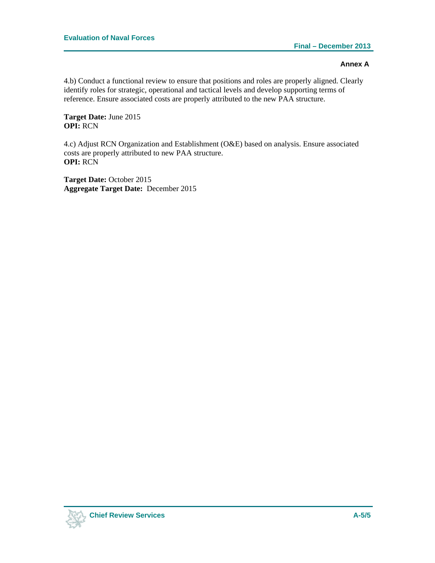4.b) Conduct a functional review to ensure that positions and roles are properly aligned. Clearly identify roles for strategic, operational and tactical levels and develop supporting terms of reference. Ensure associated costs are properly attributed to the new PAA structure.

**Target Date:** June 2015 **OPI:** RCN

4.c) Adjust RCN Organization and Establishment (O&E) based on analysis. Ensure associated costs are properly attributed to new PAA structure. **OPI:** RCN

**Target Date:** October 2015 **Aggregate Target Date:** December 2015

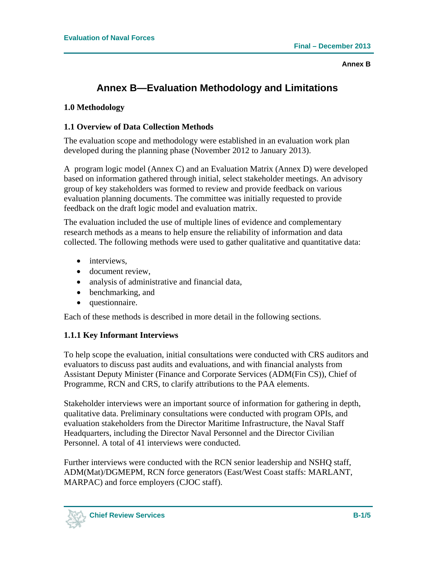## **Annex B—Evaluation Methodology and Limitations**

#### **1.0 Methodology**

#### **1.1 Overview of Data Collection Methods**

The evaluation scope and methodology were established in an evaluation work plan developed during the planning phase (November 2012 to January 2013).

A program logic model (Annex C) and an Evaluation Matrix (Annex D) were developed based on information gathered through initial, select stakeholder meetings. An advisory group of key stakeholders was formed to review and provide feedback on various evaluation planning documents. The committee was initially requested to provide feedback on the draft logic model and evaluation matrix.

The evaluation included the use of multiple lines of evidence and complementary research methods as a means to help ensure the reliability of information and data collected. The following methods were used to gather qualitative and quantitative data:

- interviews,
- document review.
- analysis of administrative and financial data,
- benchmarking, and
- questionnaire.

Each of these methods is described in more detail in the following sections.

### **1.1.1 Key Informant Interviews**

To help scope the evaluation, initial consultations were conducted with CRS auditors and evaluators to discuss past audits and evaluations, and with financial analysts from Assistant Deputy Minister (Finance and Corporate Services (ADM(Fin CS)), Chief of Programme, RCN and CRS, to clarify attributions to the PAA elements.

Stakeholder interviews were an important source of information for gathering in depth, qualitative data. Preliminary consultations were conducted with program OPIs, and evaluation stakeholders from the Director Maritime Infrastructure, the Naval Staff Headquarters, including the Director Naval Personnel and the Director Civilian Personnel. A total of 41 interviews were conducted.

Further interviews were conducted with the RCN senior leadership and NSHQ staff, ADM(Mat)/DGMEPM, RCN force generators (East/West Coast staffs: MARLANT, MARPAC) and force employers (CJOC staff).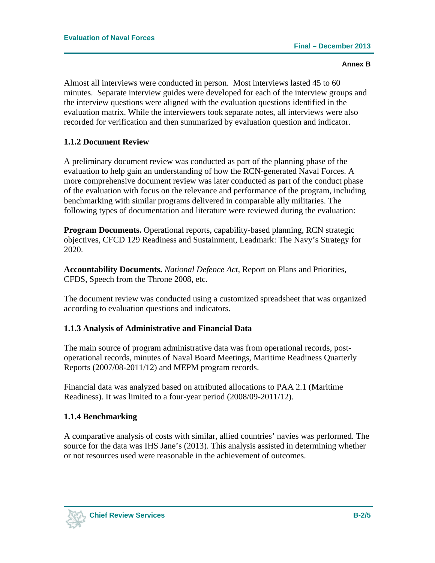Almost all interviews were conducted in person. Most interviews lasted 45 to 60 minutes. Separate interview guides were developed for each of the interview groups and the interview questions were aligned with the evaluation questions identified in the evaluation matrix. While the interviewers took separate notes, all interviews were also recorded for verification and then summarized by evaluation question and indicator.

#### **1.1.2 Document Review**

A preliminary document review was conducted as part of the planning phase of the evaluation to help gain an understanding of how the RCN-generated Naval Forces. A more comprehensive document review was later conducted as part of the conduct phase of the evaluation with focus on the relevance and performance of the program, including benchmarking with similar programs delivered in comparable ally militaries. The following types of documentation and literature were reviewed during the evaluation:

**Program Documents.** Operational reports, capability-based planning, RCN strategic objectives, CFCD 129 Readiness and Sustainment, Leadmark: The Navy's Strategy for 2020.

**Accountability Documents.** *National Defence Act,* Report on Plans and Priorities, CFDS, Speech from the Throne 2008, etc.

The document review was conducted using a customized spreadsheet that was organized according to evaluation questions and indicators.

#### **1.1.3 Analysis of Administrative and Financial Data**

The main source of program administrative data was from operational records, postoperational records, minutes of Naval Board Meetings, Maritime Readiness Quarterly Reports (2007/08-2011/12) and MEPM program records.

Financial data was analyzed based on attributed allocations to PAA 2.1 (Maritime Readiness). It was limited to a four-year period (2008/09-2011/12).

#### **1.1.4 Benchmarking**

A comparative analysis of costs with similar, allied countries' navies was performed. The source for the data was IHS Jane's (2013). This analysis assisted in determining whether or not resources used were reasonable in the achievement of outcomes.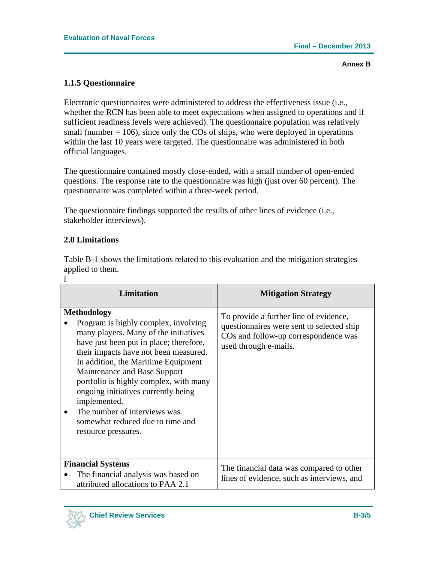#### **1.1.5 Questionnaire**

Electronic questionnaires were administered to address the effectiveness issue (i.e., whether the RCN has been able to meet expectations when assigned to operations and if sufficient readiness levels were achieved). The questionnaire population was relatively small (number  $= 106$ ), since only the COs of ships, who were deployed in operations within the last 10 years were targeted. The questionnaire was administered in both official languages.

The questionnaire contained mostly close-ended, with a small number of open-ended questions. The response rate to the questionnaire was high (just over 60 percent). The questionnaire was completed within a three-week period.

The questionnaire findings supported the results of other lines of evidence (i.e., stakeholder interviews).

#### **2.0 Limitations**

Table B-1 shows the limitations related to this evaluation and the mitigation strategies applied to them. l

| <b>Limitation</b>                                                                                                                                                                                                                                                                                                                                                                                                                                          | <b>Mitigation Strategy</b>                                                                                                                                       |
|------------------------------------------------------------------------------------------------------------------------------------------------------------------------------------------------------------------------------------------------------------------------------------------------------------------------------------------------------------------------------------------------------------------------------------------------------------|------------------------------------------------------------------------------------------------------------------------------------------------------------------|
| <b>Methodology</b><br>Program is highly complex, involving<br>many players. Many of the initiatives<br>have just been put in place; therefore,<br>their impacts have not been measured.<br>In addition, the Maritime Equipment<br>Maintenance and Base Support<br>portfolio is highly complex, with many<br>ongoing initiatives currently being<br>implemented.<br>The number of interviews was<br>somewhat reduced due to time and<br>resource pressures. | To provide a further line of evidence,<br>questionnaires were sent to selected ship<br>CO <sub>s</sub> and follow-up correspondence was<br>used through e-mails. |
| <b>Financial Systems</b><br>The financial analysis was based on<br>attributed allocations to PAA 2.1                                                                                                                                                                                                                                                                                                                                                       | The financial data was compared to other<br>lines of evidence, such as interviews, and                                                                           |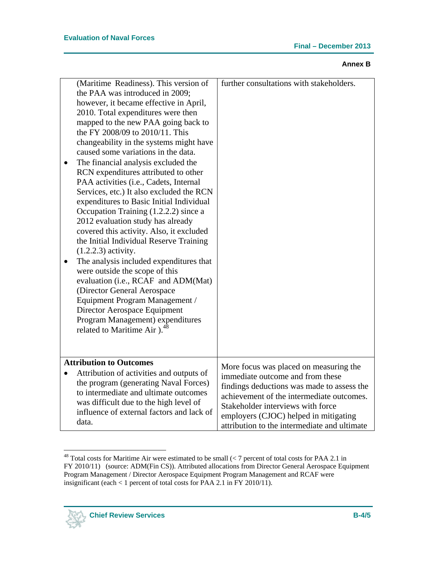| (Maritime Readiness). This version of<br>the PAA was introduced in 2009;<br>however, it became effective in April,<br>2010. Total expenditures were then<br>mapped to the new PAA going back to<br>the FY 2008/09 to 2010/11. This<br>changeability in the systems might have<br>caused some variations in the data.<br>The financial analysis excluded the<br>RCN expenditures attributed to other<br>PAA activities (i.e., Cadets, Internal<br>Services, etc.) It also excluded the RCN<br>expenditures to Basic Initial Individual<br>Occupation Training (1.2.2.2) since a<br>2012 evaluation study has already<br>covered this activity. Also, it excluded<br>the Initial Individual Reserve Training<br>$(1.2.2.3)$ activity.<br>The analysis included expenditures that<br>were outside the scope of this<br>evaluation (i.e., RCAF and ADM(Mat)<br>(Director General Aerospace<br>Equipment Program Management /<br>Director Aerospace Equipment<br>Program Management) expenditures<br>related to Maritime Air ). <sup>48</sup> | further consultations with stakeholders.                                                                                                                                                                                                                                                            |
|------------------------------------------------------------------------------------------------------------------------------------------------------------------------------------------------------------------------------------------------------------------------------------------------------------------------------------------------------------------------------------------------------------------------------------------------------------------------------------------------------------------------------------------------------------------------------------------------------------------------------------------------------------------------------------------------------------------------------------------------------------------------------------------------------------------------------------------------------------------------------------------------------------------------------------------------------------------------------------------------------------------------------------------|-----------------------------------------------------------------------------------------------------------------------------------------------------------------------------------------------------------------------------------------------------------------------------------------------------|
| <b>Attribution to Outcomes</b><br>Attribution of activities and outputs of<br>the program (generating Naval Forces)<br>to intermediate and ultimate outcomes<br>was difficult due to the high level of<br>influence of external factors and lack of                                                                                                                                                                                                                                                                                                                                                                                                                                                                                                                                                                                                                                                                                                                                                                                      | More focus was placed on measuring the<br>immediate outcome and from these<br>findings deductions was made to assess the<br>achievement of the intermediate outcomes.<br>Stakeholder interviews with force<br>employers (CJOC) helped in mitigating<br>attribution to the intermediate and ultimate |
|                                                                                                                                                                                                                                                                                                                                                                                                                                                                                                                                                                                                                                                                                                                                                                                                                                                                                                                                                                                                                                          | data.                                                                                                                                                                                                                                                                                               |

 $\overline{a}$ <sup>48</sup> Total costs for Maritime Air were estimated to be small  $\langle$  7 percent of total costs for PAA 2.1 in FY 2010/11) (source: ADM(Fin CS)). Attributed allocations from Director General Aerospace Equipment Program Management / Director Aerospace Equipment Program Management and RCAF were insignificant (each < 1 percent of total costs for PAA 2.1 in FY 2010/11).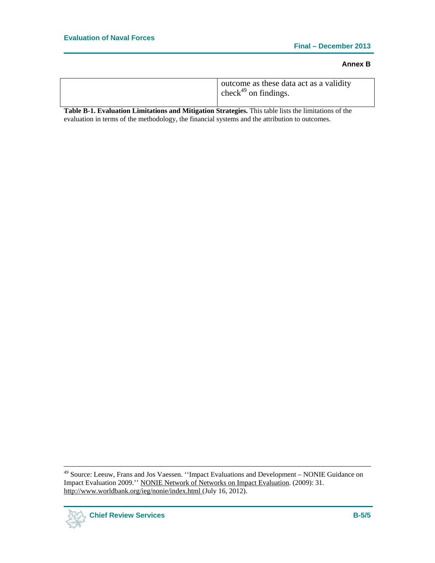**Table B-1. Evaluation Limitations and Mitigation Strategies.** This table lists the limitations of the evaluation in terms of the methodology, the financial systems and the attribution to outcomes.

 <sup>49</sup> Source: Leeuw, Frans and Jos Vaessen. ''Impact Evaluations and Development – NONIE Guidance on Impact Evaluation 2009.'' NONIE Network of Networks on Impact Evaluation. (2009): 31. http://www.worldbank.org/ieg/nonie/index.html (July 16, 2012).

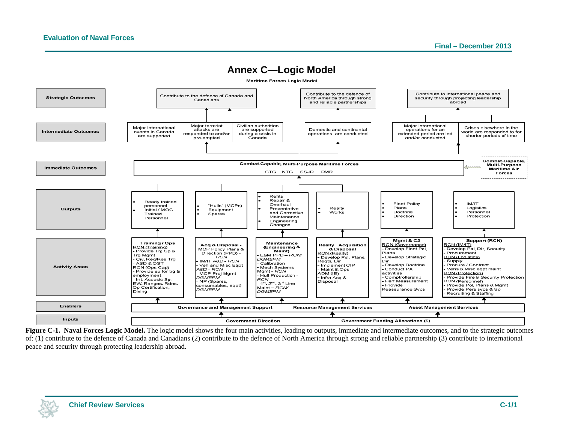

**Figure C-1. Naval Forces Logic Model.** The logic model shows the four main activities, leading to outputs, immediate and intermediate outcomes, and to the strategic outcomes of: (1) contribute to the defence of Canada and Canadians (2) contribute to the defence of North America through strong and reliable partnership (3) contribute to international peace and security through protecting leadership abroad.

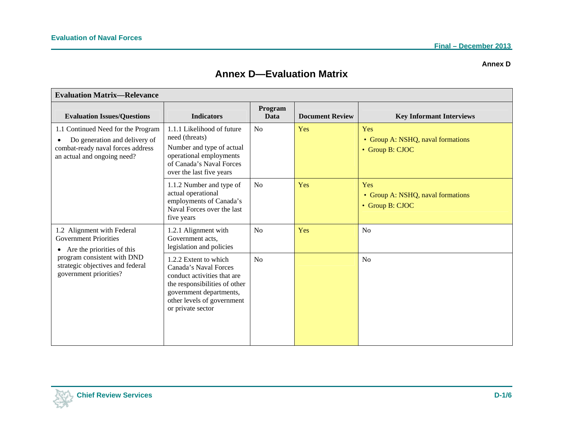#### **Annex D**

## **Annex D—Evaluation Matrix**

| <b>Evaluation Matrix-Relevance</b>                                                                                                                                                              |                                                                                                                                                                                              |                 |                        |                                                             |  |
|-------------------------------------------------------------------------------------------------------------------------------------------------------------------------------------------------|----------------------------------------------------------------------------------------------------------------------------------------------------------------------------------------------|-----------------|------------------------|-------------------------------------------------------------|--|
| <b>Evaluation Issues/Questions</b>                                                                                                                                                              | <b>Indicators</b>                                                                                                                                                                            | Program<br>Data | <b>Document Review</b> | <b>Key Informant Interviews</b>                             |  |
| 1.1 Continued Need for the Program<br>Do generation and delivery of<br>$\bullet$<br>combat-ready naval forces address<br>an actual and ongoing need?                                            | 1.1.1 Likelihood of future<br>need (threats)<br>Number and type of actual<br>operational employments<br>of Canada's Naval Forces<br>over the last five years                                 | No              | Yes                    | Yes<br>• Group A: NSHQ, naval formations<br>• Group B: CJOC |  |
|                                                                                                                                                                                                 | 1.1.2 Number and type of<br>actual operational<br>employments of Canada's<br>Naval Forces over the last<br>five years                                                                        | N <sub>o</sub>  | Yes                    | Yes<br>• Group A: NSHQ, naval formations<br>• Group B: CJOC |  |
| 1.2 Alignment with Federal<br><b>Government Priorities</b><br>$\bullet$ Are the priorities of this<br>program consistent with DND<br>strategic objectives and federal<br>government priorities? | 1.2.1 Alignment with<br>Government acts,<br>legislation and policies                                                                                                                         | No              | Yes                    | N <sub>o</sub>                                              |  |
|                                                                                                                                                                                                 | 1.2.2 Extent to which<br>Canada's Naval Forces<br>conduct activities that are<br>the responsibilities of other<br>government departments,<br>other levels of government<br>or private sector | N <sub>o</sub>  |                        | N <sub>o</sub>                                              |  |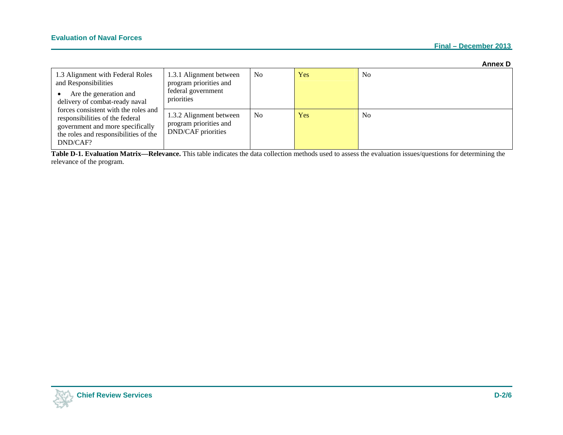|                                                                                                                                                                  |                                                                                       |                |            | <b>Annex D</b> |
|------------------------------------------------------------------------------------------------------------------------------------------------------------------|---------------------------------------------------------------------------------------|----------------|------------|----------------|
| 1.3 Alignment with Federal Roles<br>and Responsibilities<br>Are the generation and<br>delivery of combat-ready naval                                             | 1.3.1 Alignment between<br>program priorities and<br>federal government<br>priorities | N <sub>0</sub> | <b>Yes</b> | N <sub>0</sub> |
| forces consistent with the roles and<br>responsibilities of the federal<br>government and more specifically<br>the roles and responsibilities of the<br>DND/CAF? | 1.3.2 Alignment between<br>program priorities and<br><b>DND/CAF</b> priorities        | N <sub>o</sub> | Yes        | N <sub>o</sub> |

**Table D-1. Evaluation Matrix—Relevance.** This table indicates the data collection methods used to assess the evaluation issues/questions for determining the relevance of the program.

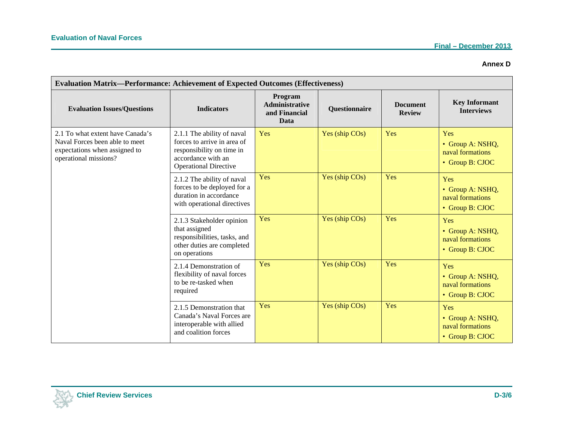#### **Annex D**

| <b>Evaluation Matrix—Performance: Achievement of Expected Outcomes (Effectiveness)</b>                                       |                                                                                                                                              |                                                           |                      |                                  |                                                                |
|------------------------------------------------------------------------------------------------------------------------------|----------------------------------------------------------------------------------------------------------------------------------------------|-----------------------------------------------------------|----------------------|----------------------------------|----------------------------------------------------------------|
| <b>Evaluation Issues/Questions</b>                                                                                           | <b>Indicators</b>                                                                                                                            | Program<br><b>Administrative</b><br>and Financial<br>Data | <b>Questionnaire</b> | <b>Document</b><br><b>Review</b> | <b>Key Informant</b><br><b>Interviews</b>                      |
| 2.1 To what extent have Canada's<br>Naval Forces been able to meet<br>expectations when assigned to<br>operational missions? | 2.1.1 The ability of naval<br>forces to arrive in area of<br>responsibility on time in<br>accordance with an<br><b>Operational Directive</b> | Yes                                                       | Yes (ship COs)       | Yes                              | Yes<br>• Group A: NSHQ,<br>naval formations<br>• Group B: CJOC |
|                                                                                                                              | 2.1.2 The ability of naval<br>forces to be deployed for a<br>duration in accordance<br>with operational directives                           | Yes                                                       | Yes (ship COs)       | Yes                              | Yes<br>• Group A: NSHQ,<br>naval formations<br>• Group B: CJOC |
|                                                                                                                              | 2.1.3 Stakeholder opinion<br>that assigned<br>responsibilities, tasks, and<br>other duties are completed<br>on operations                    | Yes                                                       | Yes (ship COs)       | Yes                              | Yes<br>• Group A: NSHQ,<br>naval formations<br>• Group B: CJOC |
|                                                                                                                              | 2.1.4 Demonstration of<br>flexibility of naval forces<br>to be re-tasked when<br>required                                                    | Yes                                                       | Yes (ship COs)       | Yes                              | Yes<br>• Group A: NSHQ,<br>naval formations<br>• Group B: CJOC |
|                                                                                                                              | 2.1.5 Demonstration that<br>Canada's Naval Forces are<br>interoperable with allied<br>and coalition forces                                   | Yes                                                       | Yes (ship COs)       | Yes                              | Yes<br>• Group A: NSHQ,<br>naval formations<br>• Group B: CJOC |

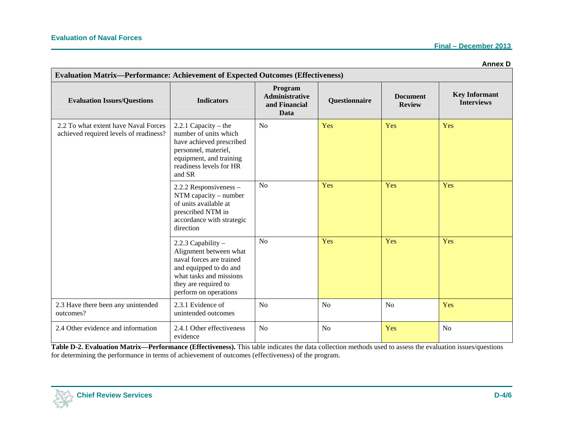|                                                                                                                              |                                                                                                                                                                                |                                                                  |                |                                  | <b>Annex D</b>                            |
|------------------------------------------------------------------------------------------------------------------------------|--------------------------------------------------------------------------------------------------------------------------------------------------------------------------------|------------------------------------------------------------------|----------------|----------------------------------|-------------------------------------------|
| <b>Evaluation Matrix-Performance: Achievement of Expected Outcomes (Effectiveness)</b><br><b>Evaluation Issues/Questions</b> | <b>Indicators</b>                                                                                                                                                              | Program<br><b>Administrative</b><br>and Financial<br><b>Data</b> | Questionnaire  | <b>Document</b><br><b>Review</b> | <b>Key Informant</b><br><b>Interviews</b> |
| 2.2 To what extent have Naval Forces<br>achieved required levels of readiness?                                               | 2.2.1 Capacity – the<br>number of units which<br>have achieved prescribed<br>personnel, materiel,<br>equipment, and training<br>readiness levels for HR<br>and SR              | N <sub>0</sub>                                                   | Yes            | Yes                              | Yes                                       |
|                                                                                                                              | 2.2.2 Responsiveness -<br>$NTM$ capacity – number<br>of units available at<br>prescribed NTM in<br>accordance with strategic<br>direction                                      | N <sub>o</sub>                                                   | Yes            | Yes                              | Yes                                       |
|                                                                                                                              | 2.2.3 Capability -<br>Alignment between what<br>naval forces are trained<br>and equipped to do and<br>what tasks and missions<br>they are required to<br>perform on operations | N <sub>o</sub>                                                   | Yes            | Yes                              | Yes                                       |
| 2.3 Have there been any unintended<br>outcomes?                                                                              | 2.3.1 Evidence of<br>unintended outcomes                                                                                                                                       | N <sub>o</sub>                                                   | N <sub>o</sub> | N <sub>o</sub>                   | Yes                                       |
| 2.4 Other evidence and information                                                                                           | 2.4.1 Other effectiveness<br>evidence                                                                                                                                          | N <sub>o</sub>                                                   | N <sub>o</sub> | Yes                              | N <sub>o</sub>                            |

**Table D-2. Evaluation Matrix—Performance (Effectiveness).** This table indicates the data collection methods used to assess the evaluation issues/questions for determining the performance in terms of achievement of outcomes (effectiveness) of the program.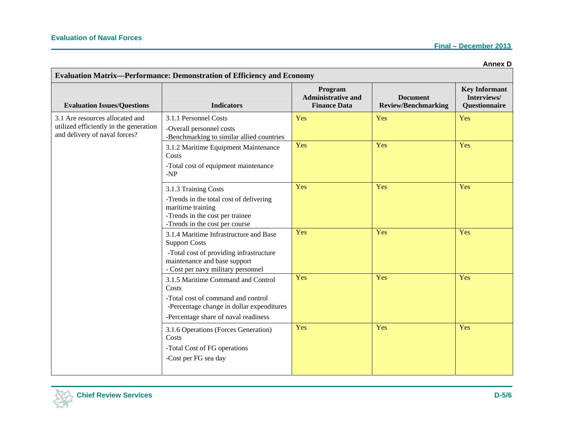| <b>Evaluation Matrix-Performance: Demonstration of Efficiency and Economy</b> |                                                                                                                                   |                                                             |                                               |                                                             |
|-------------------------------------------------------------------------------|-----------------------------------------------------------------------------------------------------------------------------------|-------------------------------------------------------------|-----------------------------------------------|-------------------------------------------------------------|
| <b>Evaluation Issues/Questions</b>                                            | <b>Indicators</b>                                                                                                                 | Program<br><b>Administrative and</b><br><b>Finance Data</b> | <b>Document</b><br><b>Review/Benchmarking</b> | <b>Key Informant</b><br>Interviews/<br><b>Questionnaire</b> |
| 3.1 Are resources allocated and                                               | 3.1.1 Personnel Costs                                                                                                             | Yes                                                         | Yes                                           | Yes                                                         |
| utilized efficiently in the generation<br>and delivery of naval forces?       | -Overall personnel costs<br>-Benchmarking to similar allied countries                                                             |                                                             |                                               |                                                             |
|                                                                               | 3.1.2 Maritime Equipment Maintenance<br>Costs                                                                                     | Yes                                                         | Yes                                           | Yes                                                         |
|                                                                               | -Total cost of equipment maintenance<br>$-NP$                                                                                     |                                                             |                                               |                                                             |
|                                                                               | 3.1.3 Training Costs                                                                                                              | Yes                                                         | Yes                                           | Yes                                                         |
|                                                                               | -Trends in the total cost of delivering<br>maritime training<br>-Trends in the cost per trainee<br>-Trends in the cost per course |                                                             |                                               |                                                             |
|                                                                               | 3.1.4 Maritime Infrastructure and Base<br><b>Support Costs</b>                                                                    | Yes                                                         | Yes                                           | Yes                                                         |
|                                                                               | -Total cost of providing infrastructure<br>maintenance and base support<br>- Cost per navy military personnel                     |                                                             |                                               |                                                             |
|                                                                               | 3.1.5 Maritime Command and Control<br>Costs                                                                                       | Yes                                                         | Yes                                           | Yes                                                         |
|                                                                               | -Total cost of command and control<br>-Percentage change in dollar expenditures                                                   |                                                             |                                               |                                                             |
|                                                                               | -Percentage share of naval readiness                                                                                              |                                                             |                                               |                                                             |
|                                                                               | 3.1.6 Operations (Forces Generation)<br>Costs<br>-Total Cost of FG operations<br>-Cost per FG sea day                             | Yes                                                         | Yes                                           | Yes                                                         |
|                                                                               |                                                                                                                                   |                                                             |                                               |                                                             |